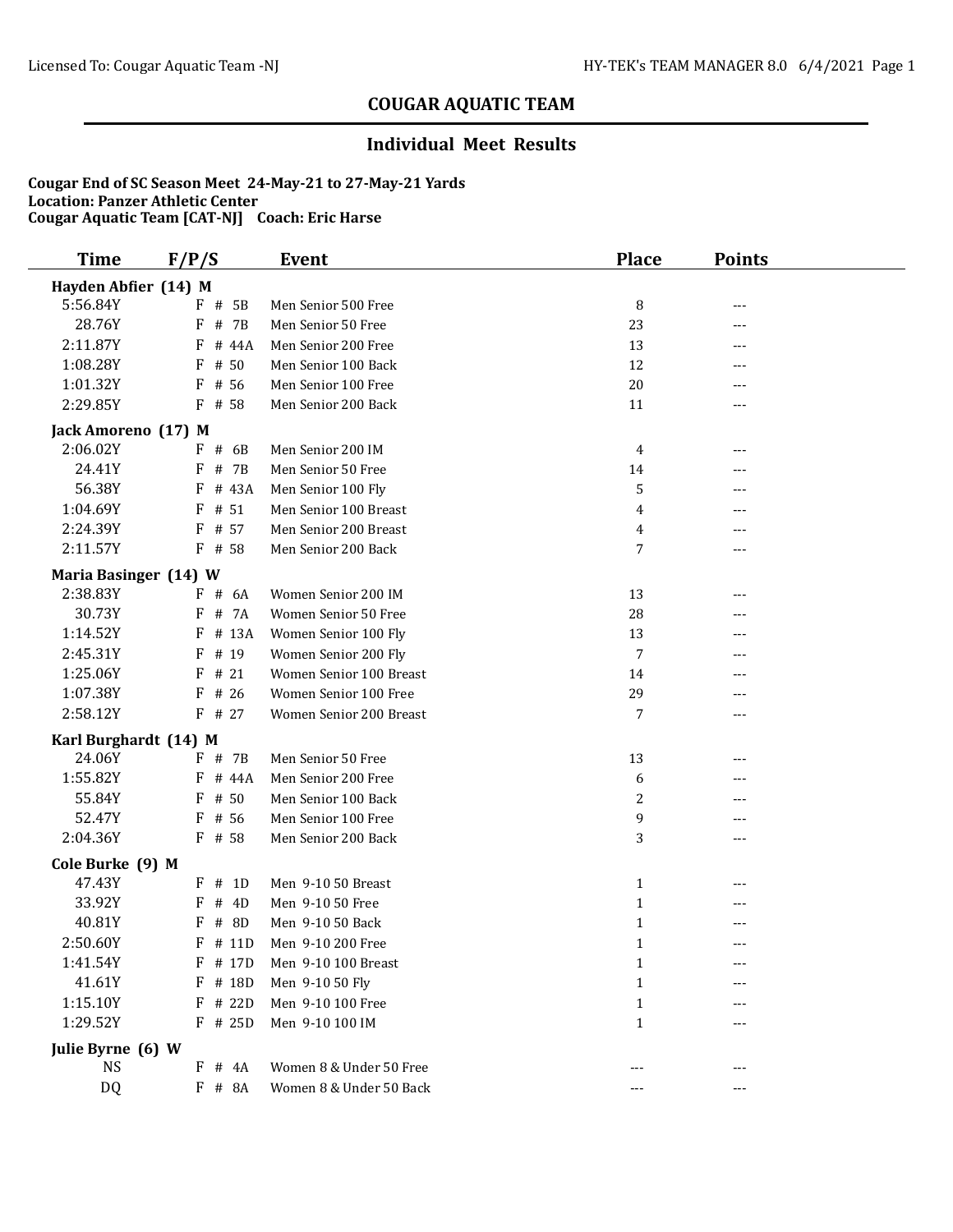### **Individual Meet Results**

| <b>Time</b>                    | F/P/S              | <b>Event</b>            | <b>Place</b>   | <b>Points</b> |  |
|--------------------------------|--------------------|-------------------------|----------------|---------------|--|
| Hayden Abfier (14) M           |                    |                         |                |               |  |
| 5:56.84Y                       | F # 5B             | Men Senior 500 Free     | 8              | ---           |  |
| 28.76Y                         | F<br># 7B          | Men Senior 50 Free      | 23             | ---           |  |
| 2:11.87Y                       | F<br># 44A         | Men Senior 200 Free     | 13             |               |  |
| 1:08.28Y                       | # 50<br>F          | Men Senior 100 Back     | 12             | ---           |  |
| 1:01.32Y                       | F<br># 56          | Men Senior 100 Free     | 20             |               |  |
| 2:29.85Y                       | F # 58             | Men Senior 200 Back     | 11             | $---$         |  |
| Jack Amoreno (17) M            |                    |                         |                |               |  |
| 2:06.02Y                       | $F$ # 6B           | Men Senior 200 IM       | 4              | ---           |  |
| 24.41Y                         | # 7B<br>F          | Men Senior 50 Free      | 14             |               |  |
| 56.38Y                         | # 43A<br>F         | Men Senior 100 Fly      | 5              |               |  |
| 1:04.69Y                       | F<br># 51          | Men Senior 100 Breast   | 4              | ---           |  |
| 2:24.39Y                       | F<br># 57          | Men Senior 200 Breast   | $\overline{4}$ |               |  |
| 2:11.57Y                       | # 58<br>F          | Men Senior 200 Back     | 7              | ---           |  |
| Maria Basinger (14) W          |                    |                         |                |               |  |
| 2:38.83Y                       | $F$ # 6A           | Women Senior 200 IM     | 13             | ---           |  |
| 30.73Y                         | # 7A<br>F          | Women Senior 50 Free    | 28             |               |  |
| 1:14.52Y                       | # 13A<br>F         | Women Senior 100 Fly    | 13             |               |  |
| 2:45.31Y                       | F<br># 19          | Women Senior 200 Fly    | 7              |               |  |
| 1:25.06Y                       | # 21<br>F          | Women Senior 100 Breast | 14             |               |  |
| 1:07.38Y                       | # 26<br>F          | Women Senior 100 Free   | 29             |               |  |
| 2:58.12Y                       | $F$ # 27           | Women Senior 200 Breast | 7              | ---           |  |
| Karl Burghardt (14) M          |                    |                         |                |               |  |
| 24.06Y                         | F # 7B             | Men Senior 50 Free      | 13             | ---           |  |
| 1:55.82Y                       | # 44A<br>F         | Men Senior 200 Free     | 6              | ---           |  |
| 55.84Y                         | F<br># 50          | Men Senior 100 Back     | 2              | ---           |  |
| 52.47Y                         | # 56<br>F          | Men Senior 100 Free     | 9              |               |  |
| 2:04.36Y                       | # 58<br>F          | Men Senior 200 Back     | 3              | ---           |  |
| Cole Burke (9) M               |                    |                         |                |               |  |
| 47.43Y                         | # 1D<br>F          | Men 9-10 50 Breast      | $\mathbf{1}$   |               |  |
| 33.92Y                         | F<br># 4D          | Men 9-10 50 Free        | $\mathbf{1}$   |               |  |
| 40.81Y                         | # 8D<br>F          | Men 9-10 50 Back        | $\mathbf{1}$   | ---           |  |
| 2:50.60Y                       | $F$ # 11D          | Men 9-10 200 Free       | 1              | ---           |  |
| 1:41.54Y                       | # 17D<br>F         | Men 9-10 100 Breast     | $\mathbf 1$    |               |  |
| 41.61Y                         | # 18D              | Men 9-10 50 Fly         | 1              |               |  |
| 1:15.10Y                       | F # 22D            | Men 9-10 100 Free       | $\mathbf{1}$   |               |  |
| 1:29.52Y                       | F # 25D            | Men 9-10 100 IM         | $\mathbf{1}$   |               |  |
|                                |                    |                         |                |               |  |
| Julie Byrne (6) W<br><b>NS</b> |                    | Women 8 & Under 50 Free |                |               |  |
| DQ                             | $F$ # 4A<br>F # 8A | Women 8 & Under 50 Back | ---            | ---           |  |
|                                |                    |                         |                |               |  |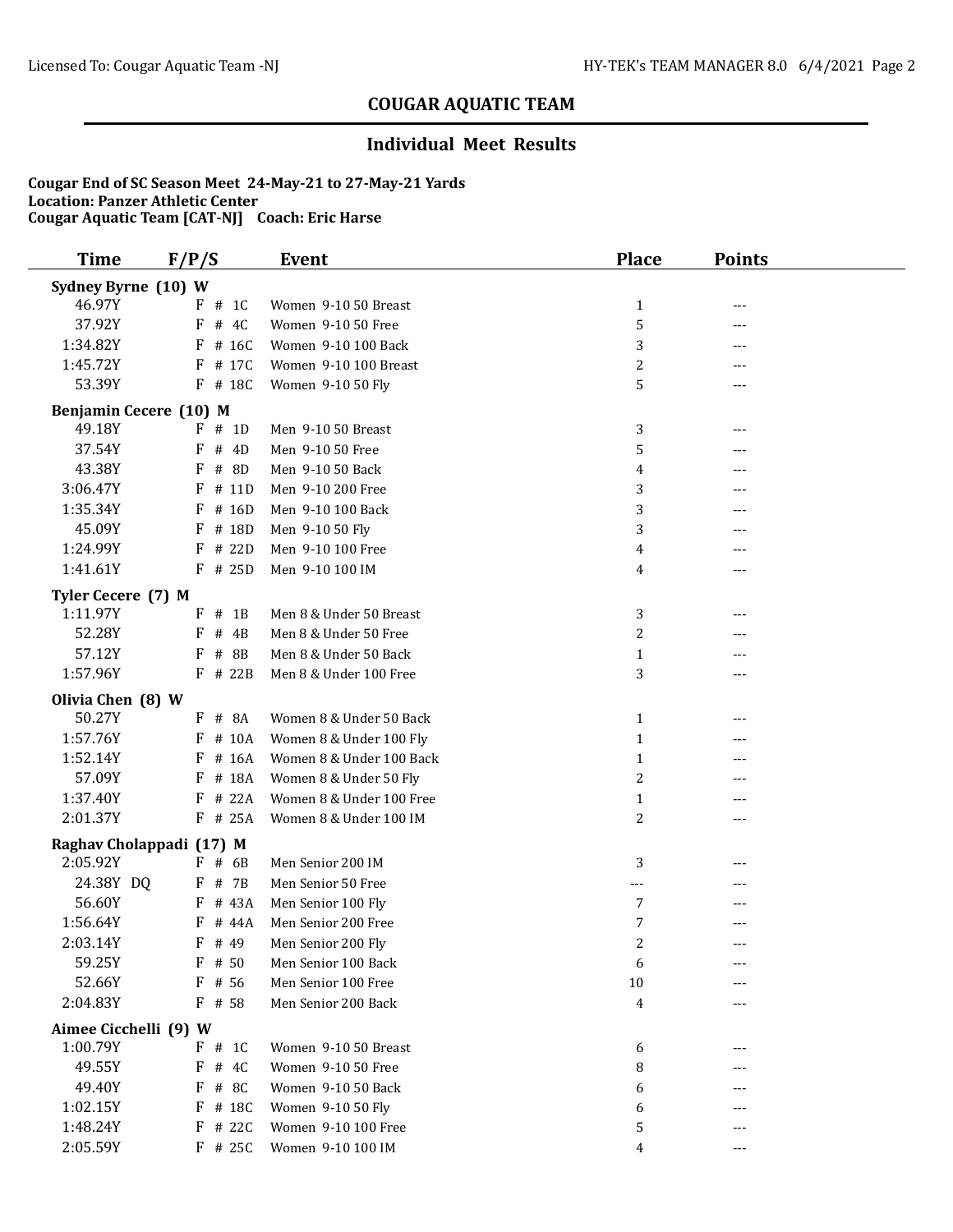### **Individual Meet Results**

| <b>Time</b>                       | F/P/S       | <b>Event</b>             | <b>Place</b>   | <b>Points</b> |
|-----------------------------------|-------------|--------------------------|----------------|---------------|
| Sydney Byrne (10) W               |             |                          |                |               |
| 46.97Y                            | $F$ # 1C    | Women 9-10 50 Breast     | $\mathbf{1}$   | ---           |
| 37.92Y                            | # 4C<br>F   | Women 9-10 50 Free       | 5              | ---           |
| 1:34.82Y                          | # 16C<br>F  | Women 9-10 100 Back      | 3              | ---           |
| 1:45.72Y                          | F<br># 17C  | Women 9-10 100 Breast    | $\overline{c}$ | ---           |
| 53.39Y                            | F # 18C     | Women 9-10 50 Fly        | 5              | ---           |
| Benjamin Cecere (10) M            |             |                          |                |               |
| 49.18Y                            | # 1D<br>F   | Men 9-10 50 Breast       | 3              | ---           |
| 37.54Y                            | # 4D<br>F   | Men 9-10 50 Free         | 5              |               |
| 43.38Y                            | # 8D<br>F   | Men 9-10 50 Back         | 4              |               |
| 3:06.47Y                          | # 11D<br>F  | Men 9-10 200 Free        | 3              |               |
| 1:35.34Y                          | $F$ # 16D   | Men 9-10 100 Back        | 3              | ---           |
| 45.09Y                            | # 18D<br>F  | Men 9-10 50 Fly          | 3              | ---           |
| 1:24.99Y                          | F<br># 22D  | Men 9-10 100 Free        | 4              | ---           |
| 1:41.61Y                          | $F$ # 25D   | Men 9-10 100 IM          | 4              | ---           |
| Tyler Cecere (7) M                |             |                          |                |               |
| 1:11.97Y                          | $#$ 1B<br>F | Men 8 & Under 50 Breast  | 3              | ---           |
| 52.28Y                            | F<br># 4B   | Men 8 & Under 50 Free    | $\overline{c}$ |               |
| 57.12Y                            | # 8B<br>F   | Men 8 & Under 50 Back    | $\mathbf{1}$   |               |
| 1:57.96Y                          | $F$ # 22B   | Men 8 & Under 100 Free   | 3              | ---           |
| Olivia Chen (8) W                 |             |                          |                |               |
| 50.27Y                            | # 8A<br>F   | Women 8 & Under 50 Back  | $\mathbf{1}$   | ---           |
| 1:57.76Y                          | # 10A<br>F  | Women 8 & Under 100 Fly  | $\mathbf{1}$   | ---           |
| 1:52.14Y                          | # 16A<br>F  | Women 8 & Under 100 Back | $\mathbf{1}$   | ---           |
| 57.09Y                            | # 18A<br>F  | Women 8 & Under 50 Fly   | $\overline{c}$ | ---           |
| 1:37.40Y                          | # 22A<br>F  | Women 8 & Under 100 Free | $\mathbf{1}$   |               |
| 2:01.37Y                          | $F$ # 25A   | Women 8 & Under 100 IM   | 2              | ---           |
| Raghav Cholappadi (17) M          |             |                          |                |               |
| 2:05.92Y                          | $F$ # 6B    | Men Senior 200 IM        | 3              |               |
| 24.38Y DQ                         | F # 7B      | Men Senior 50 Free       | $- - -$        |               |
| 56.60Y                            | # 43A<br>F  | Men Senior 100 Fly       | $\overline{7}$ | ---           |
| 1:56.64Y                          | # 44A<br>F  | Men Senior 200 Free      | 7              | ---           |
| 2:03.14Y                          | F<br># 49   | Men Senior 200 Fly       | $\overline{c}$ | $---$         |
| 59.25Y                            | $F$ # 50    | Men Senior 100 Back      | 6              | ---           |
| 52.66Y                            | $F$ # 56    | Men Senior 100 Free      | 10             |               |
| 2:04.83Y                          | $F$ # 58    | Men Senior 200 Back      | 4              | ---           |
|                                   |             |                          |                |               |
| Aimee Cicchelli (9) W<br>1:00.79Y | $F$ # 1C    | Women 9-10 50 Breast     | 6              | ---           |
| 49.55Y                            | F<br># 4C   | Women 9-10 50 Free       | 8              |               |
| 49.40Y                            | F<br># 8C   | Women 9-10 50 Back       | 6              |               |
| 1:02.15Y                          | # 18C<br>F  | Women 9-10 50 Fly        | 6              |               |
| 1:48.24Y                          | F # 22C     | Women 9-10 100 Free      | 5              |               |
| 2:05.59Y                          | F # 25C     | Women 9-10 100 IM        | 4              |               |
|                                   |             |                          |                |               |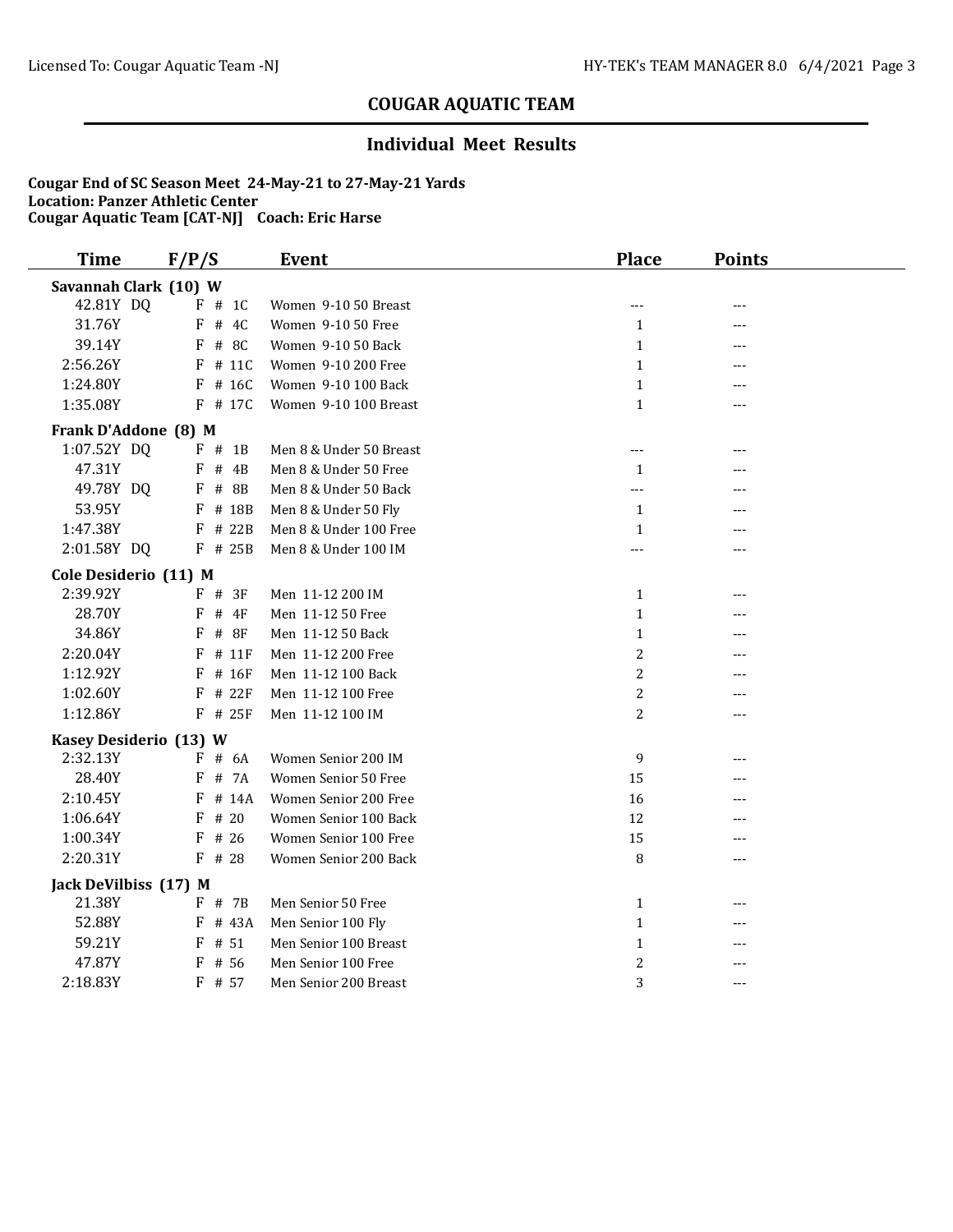### **Individual Meet Results**

| <b>Time</b>            | F/P/S       | <b>Event</b>            | <b>Place</b>   | <b>Points</b> |  |
|------------------------|-------------|-------------------------|----------------|---------------|--|
| Savannah Clark (10) W  |             |                         |                |               |  |
| 42.81Y DQ              | $F$ # 1C    | Women 9-10 50 Breast    | $---$          | ---           |  |
| 31.76Y                 | $F$ # 4C    | Women 9-10 50 Free      | $\mathbf{1}$   | ---           |  |
| 39.14Y                 | $F$ # 8C    | Women 9-10 50 Back      | $\mathbf{1}$   | ---           |  |
| 2:56.26Y               | $F$ # 11C   | Women 9-10 200 Free     | $\mathbf{1}$   |               |  |
| 1:24.80Y               | $F$ # 16C   | Women 9-10 100 Back     | $\mathbf{1}$   | ---           |  |
| 1:35.08Y               | F # 17C     | Women 9-10 100 Breast   | $\mathbf{1}$   | ---           |  |
| Frank D'Addone (8) M   |             |                         |                |               |  |
| 1:07.52Y DQ            | $F$ # 1B    | Men 8 & Under 50 Breast | $---$          | ---           |  |
| 47.31Y                 | $F$ # 4B    | Men 8 & Under 50 Free   | 1              | ---           |  |
| 49.78Y DQ              | $F$ # 8B    | Men 8 & Under 50 Back   | ---            | ---           |  |
| 53.95Y                 | F<br># 18B  | Men 8 & Under 50 Fly    | $\mathbf{1}$   | ---           |  |
| 1:47.38Y               | # 22B<br>F  | Men 8 & Under 100 Free  | $\mathbf{1}$   | ---           |  |
| 2:01.58Y DQ            | $F$ # 25B   | Men 8 & Under 100 IM    | ---            | ---           |  |
| Cole Desiderio (11) M  |             |                         |                |               |  |
| 2:39.92Y               | $F$ # 3F    | Men 11-12 200 IM        | $\mathbf{1}$   | ---           |  |
| 28.70Y                 | F<br>$#$ 4F | Men 11-12 50 Free       | $\mathbf{1}$   | ---           |  |
| 34.86Y                 | F<br># 8F   | Men 11-12 50 Back       | $\mathbf{1}$   | ---           |  |
| 2:20.04Y               | # 11F<br>F  | Men 11-12 200 Free      | $\overline{c}$ | ---           |  |
| 1:12.92Y               | # 16F<br>F  | Men 11-12 100 Back      | $\overline{c}$ |               |  |
| 1:02.60Y               | # 22F<br>F  | Men 11-12 100 Free      | $\overline{c}$ |               |  |
| 1:12.86Y               | F # 25F     | Men 11-12 100 IM        | 2              | ---           |  |
| Kasey Desiderio (13) W |             |                         |                |               |  |
| 2:32.13Y               | $F$ # 6A    | Women Senior 200 IM     | 9              |               |  |
| 28.40Y                 | # 7A<br>F   | Women Senior 50 Free    | 15             |               |  |
| 2:10.45Y               | F<br># 14A  | Women Senior 200 Free   | 16             |               |  |
| 1:06.64Y               | # 20<br>F   | Women Senior 100 Back   | 12             |               |  |
| 1:00.34Y               | $F$ # 26    | Women Senior 100 Free   | 15             |               |  |
| 2:20.31Y               | $F$ # 28    | Women Senior 200 Back   | 8              | ---           |  |
| Jack DeVilbiss (17) M  |             |                         |                |               |  |
| 21.38Y                 | F # 7B      | Men Senior 50 Free      | $\mathbf{1}$   | ---           |  |
| 52.88Y                 | F # 43A     | Men Senior 100 Fly      | $\mathbf{1}$   | ---           |  |
| 59.21Y                 | $F$ # 51    | Men Senior 100 Breast   | $\mathbf{1}$   | ---           |  |
| 47.87Y                 | F<br># 56   | Men Senior 100 Free     | $\overline{c}$ | ---           |  |
| 2:18.83Y               | F # 57      | Men Senior 200 Breast   | 3              | $---$         |  |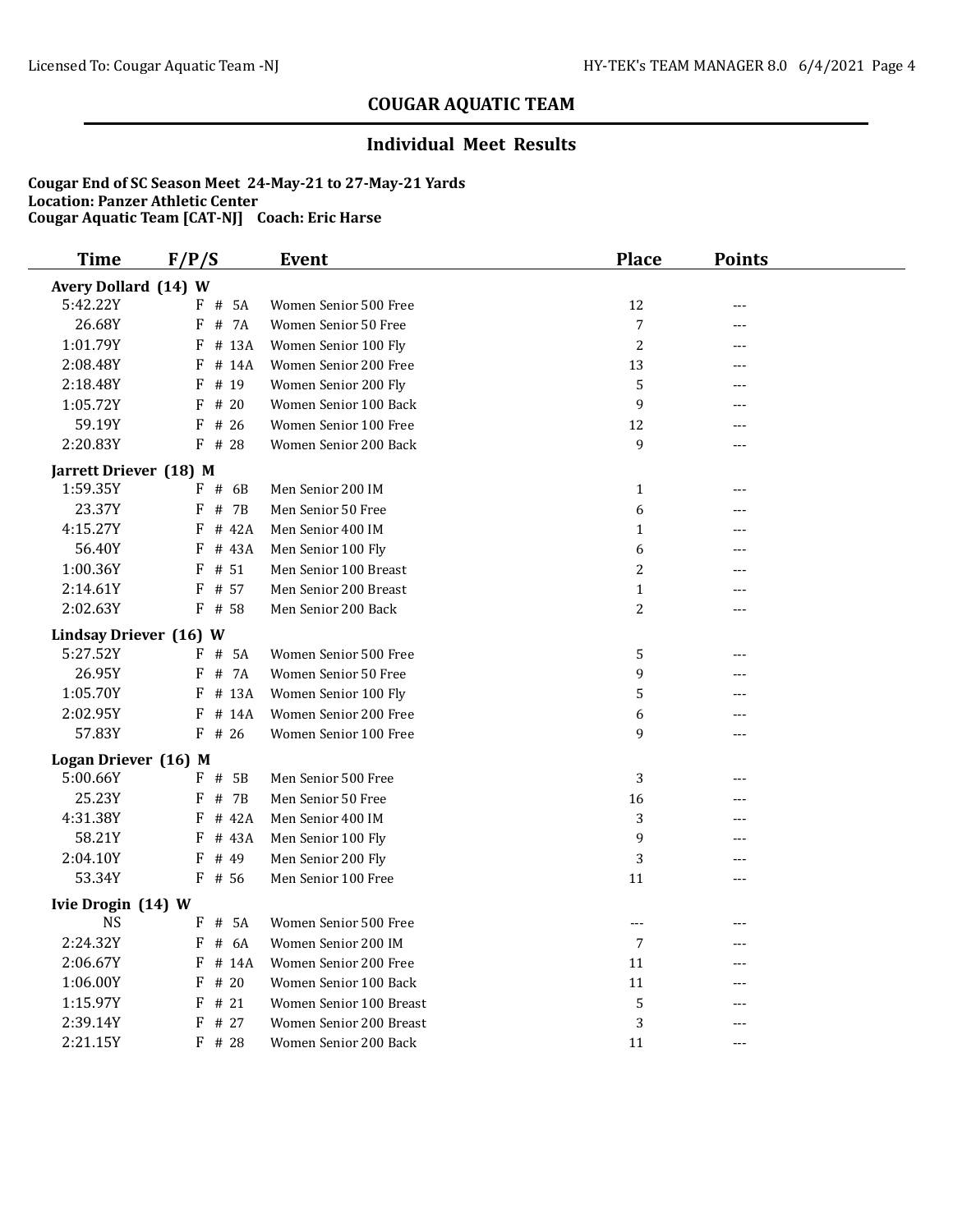### **Individual Meet Results**

| Avery Dollard (14) W                                                    |  |
|-------------------------------------------------------------------------|--|
| 5:42.22Y<br>$F$ # 5A<br>12<br>Women Senior 500 Free<br>---              |  |
| 26.68Y<br># 7A<br>F<br>Women Senior 50 Free<br>7<br>---                 |  |
| 1:01.79Y<br>$\overline{c}$<br>$F$ # 13A<br>Women Senior 100 Fly<br>---  |  |
| 2:08.48Y<br>F<br># 14A<br>Women Senior 200 Free<br>13                   |  |
| 2:18.48Y<br># 19<br>5<br>F<br>Women Senior 200 Fly<br>---               |  |
| 1:05.72Y<br>$F$ # 20<br>Women Senior 100 Back<br>9                      |  |
| 59.19Y<br># 26<br>12<br>F<br>Women Senior 100 Free<br>---               |  |
| 2:20.83Y<br>F<br># 28<br>Women Senior 200 Back<br>9<br>$---$            |  |
| Jarrett Driever (18) M                                                  |  |
| 1:59.35Y<br>$F$ # 6B<br>Men Senior 200 IM<br>$\mathbf{1}$<br>$---$      |  |
| 23.37Y<br>F<br># 7B<br>6<br>Men Senior 50 Free<br>---                   |  |
| 4:15.27Y<br># 42A<br>F<br>Men Senior 400 IM<br>$\mathbf{1}$<br>---      |  |
| 56.40Y<br># 43A<br>F<br>Men Senior 100 Fly<br>6                         |  |
| 1:00.36Y<br>$\overline{c}$<br>F<br># 51<br>Men Senior 100 Breast<br>--- |  |
| 2:14.61Y<br>F<br># 57<br>Men Senior 200 Breast<br>$\mathbf{1}$<br>---   |  |
| 2:02.63Y<br>$F$ # 58<br>Men Senior 200 Back<br>2<br>---                 |  |
| Lindsay Driever (16) W                                                  |  |
| 5:27.52Y<br>$F$ # 5A<br>Women Senior 500 Free<br>5<br>---               |  |
| 26.95Y<br>9<br>F<br># 7A<br>Women Senior 50 Free<br>---                 |  |
| 1:05.70Y<br>5<br>F<br># 13A<br>Women Senior 100 Fly<br>---              |  |
| 2:02.95Y<br>F<br># 14A<br>Women Senior 200 Free<br>6<br>                |  |
| 57.83Y<br>$F$ # 26<br>9<br>Women Senior 100 Free<br>---                 |  |
| Logan Driever (16) M                                                    |  |
| 5:00.66Y<br>$F$ # 5B<br>3<br>Men Senior 500 Free<br>---                 |  |
| 25.23Y<br># 7B<br>F<br>Men Senior 50 Free<br>16                         |  |
| 4:31.38Y<br># 42A<br>3<br>F<br>Men Senior 400 IM<br>---                 |  |
| 58.21Y<br>9<br>F<br># 43A<br>Men Senior 100 Fly<br>                     |  |
| 2:04.10Y<br>F<br># 49<br>3<br>Men Senior 200 Fly<br>---                 |  |
| 53.34Y<br>F # 56<br>Men Senior 100 Free<br>11<br>$---$                  |  |
| Ivie Drogin (14) W                                                      |  |
| <b>NS</b><br>F # 5A<br>Women Senior 500 Free<br>$---$<br>---            |  |
| 2:24.32Y<br># 6A<br>Women Senior 200 IM<br>F<br>7<br>---                |  |
| 2:06.67Y<br>Women Senior 200 Free<br>11<br>F<br># 14A<br>---            |  |
| 1:06.00Y<br>#20<br>F<br>Women Senior 100 Back<br>11                     |  |
| 1:15.97Y<br>F<br>#21<br>5<br>Women Senior 100 Breast<br>---             |  |
| 2:39.14Y<br>3<br>F<br># 27<br>Women Senior 200 Breast<br>---            |  |
| 2:21.15Y<br>$F$ # 28<br>11<br>Women Senior 200 Back<br>---              |  |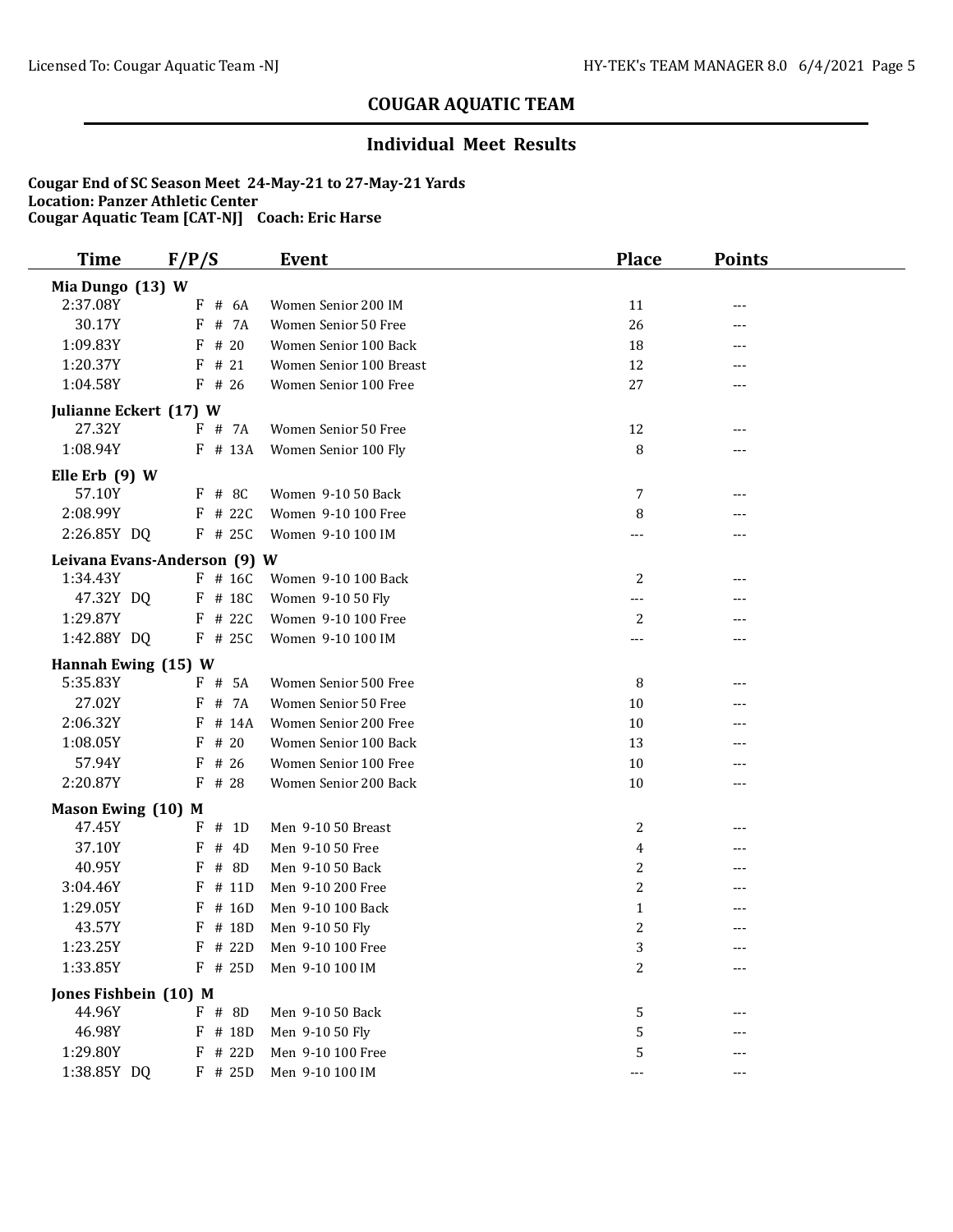### **Individual Meet Results**

| <b>Time</b>            | F/P/S                        | <b>Event</b>            | <b>Place</b> | <b>Points</b> |  |
|------------------------|------------------------------|-------------------------|--------------|---------------|--|
| Mia Dungo (13) W       |                              |                         |              |               |  |
| 2:37.08Y               | $F$ # 6A                     | Women Senior 200 IM     | 11           | ---           |  |
| 30.17Y                 | $F$ # 7A                     | Women Senior 50 Free    | 26           | ---           |  |
| 1:09.83Y               | # 20<br>F                    | Women Senior 100 Back   | 18           | ---           |  |
| 1:20.37Y               | # 21<br>F                    | Women Senior 100 Breast | 12           | ---           |  |
| 1:04.58Y               | $F$ # 26                     | Women Senior 100 Free   | 27           | ---           |  |
| Julianne Eckert (17) W |                              |                         |              |               |  |
| 27.32Y                 | F # 7A                       | Women Senior 50 Free    | 12           | ---           |  |
| 1:08.94Y               | F # 13A                      | Women Senior 100 Fly    | 8            | ---           |  |
| Elle Erb $(9)$ W       |                              |                         |              |               |  |
| 57.10Y                 | $F$ # 8C                     | Women 9-10 50 Back      | 7            | ---           |  |
| 2:08.99Y               | $F$ # 22C                    | Women 9-10 100 Free     | 8            | ---           |  |
| 2:26.85Y DQ            | $F$ # 25C                    | Women 9-10 100 IM       |              | ---           |  |
|                        | Leivana Evans-Anderson (9) W |                         |              |               |  |
| 1:34.43Y               | $F$ # 16C                    | Women 9-10 100 Back     | 2            | ---           |  |
| 47.32Y DQ              | F # 18C                      | Women 9-10 50 Fly       | ---          |               |  |
| 1:29.87Y               | $F$ # 22C                    | Women 9-10 100 Free     | 2            |               |  |
| 1:42.88Y DQ            | $F$ # 25C                    | Women 9-10 100 IM       | $---$        | ---           |  |
| Hannah Ewing (15) W    |                              |                         |              |               |  |
| 5:35.83Y               | $F$ # 5A                     | Women Senior 500 Free   | 8            | ---           |  |
| 27.02Y                 | F<br># 7A                    | Women Senior 50 Free    | 10           | ---           |  |
| 2:06.32Y               | # 14A<br>F                   | Women Senior 200 Free   | 10           |               |  |
| 1:08.05Y               | F<br># 20                    | Women Senior 100 Back   | 13           | ---           |  |
| 57.94Y                 | F<br># 26                    | Women Senior 100 Free   | 10           |               |  |
| 2:20.87Y               | F<br># 28                    | Women Senior 200 Back   | 10           | ---           |  |
| Mason Ewing (10) M     |                              |                         |              |               |  |
| 47.45Y                 | $F$ # 1D                     | Men 9-10 50 Breast      | 2            | ---           |  |
| 37.10Y                 | F<br># 4D                    | Men 9-10 50 Free        | 4            | ---           |  |
| 40.95Y                 | # 8D<br>F                    | Men 9-10 50 Back        | 2            | ---           |  |
| 3:04.46Y               | # 11D<br>F                   | Men 9-10 200 Free       | 2            | ---           |  |
| 1:29.05Y               | $F$ # 16D                    | Men 9-10 100 Back       | $\mathbf{1}$ |               |  |
| 43.57Y                 | F # 18D                      | Men 9-10 50 Fly         | 2            | ---           |  |
| 1:23.25Y               | $F$ # 22D                    | Men 9-10 100 Free       | 3            |               |  |
| 1:33.85Y               | $F$ # 25D                    | Men 9-10 100 IM         | 2            |               |  |
| Jones Fishbein (10) M  |                              |                         |              |               |  |
| 44.96Y                 | $F$ # 8D                     | Men 9-10 50 Back        | 5            |               |  |
| 46.98Y                 | F # 18D                      | Men 9-10 50 Fly         | 5            |               |  |
| 1:29.80Y               | F # 22D                      | Men 9-10 100 Free       | 5            |               |  |
| 1:38.85Y DQ            | $F$ # 25D                    | Men 9-10 100 IM         | ---          |               |  |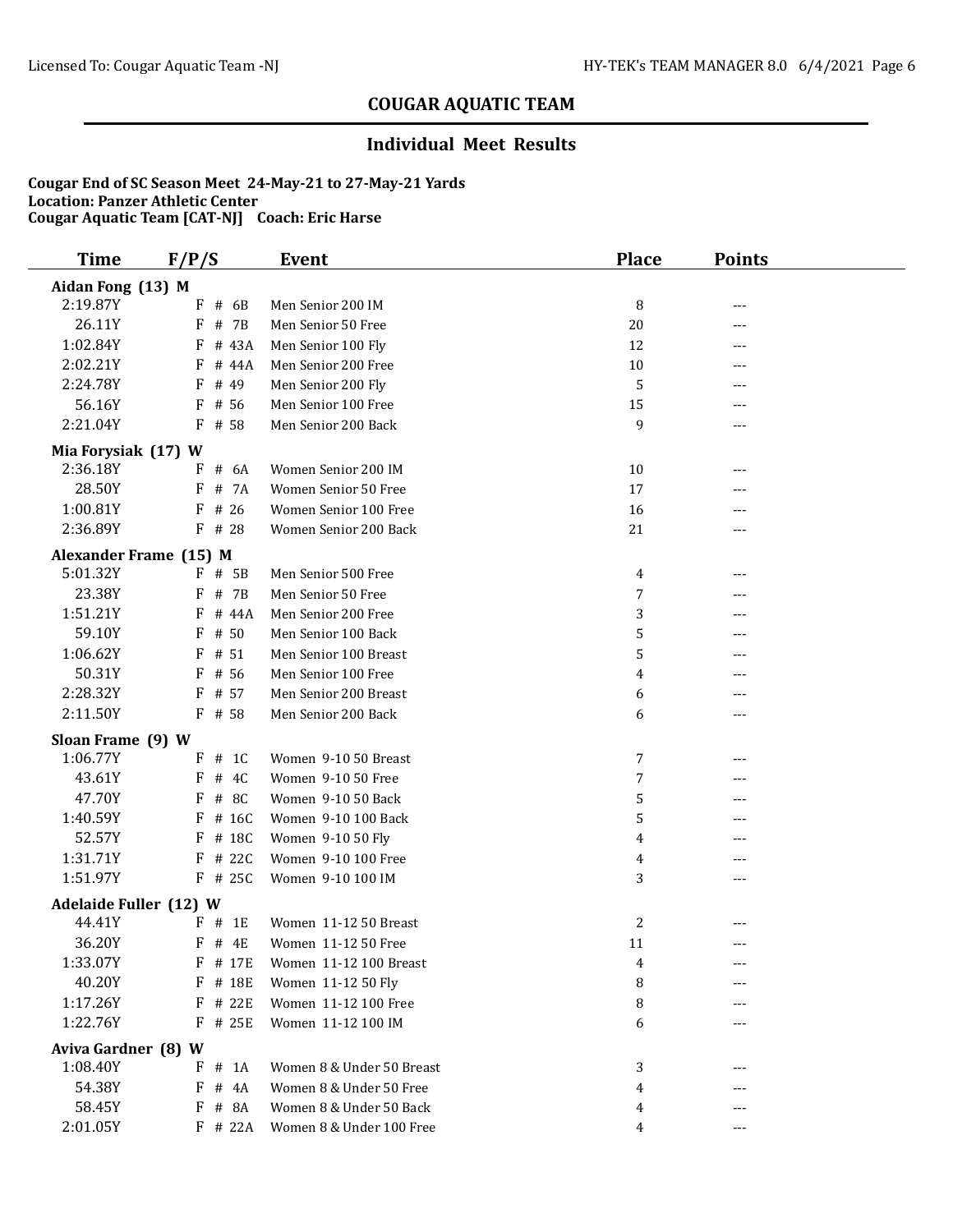### **Individual Meet Results**

| <b>Time</b>                             | F/P/S             | Event                                              | <b>Place</b>   | <b>Points</b> |  |
|-----------------------------------------|-------------------|----------------------------------------------------|----------------|---------------|--|
| Aidan Fong (13) M                       |                   |                                                    |                |               |  |
| 2:19.87Y                                | # 6B<br>F         | Men Senior 200 IM                                  | 8              | ---           |  |
| 26.11Y                                  | # 7B<br>F         | Men Senior 50 Free                                 | 20             | ---           |  |
| 1:02.84Y                                | F<br># 43A        | Men Senior 100 Fly                                 | 12             | ---           |  |
| 2:02.21Y                                | # 44A<br>F        | Men Senior 200 Free                                | 10             | ---           |  |
| 2:24.78Y                                | F<br># 49         | Men Senior 200 Fly                                 | 5              |               |  |
| 56.16Y                                  | F<br># 56         | Men Senior 100 Free                                | 15             |               |  |
| 2:21.04Y                                | $F$ # 58          | Men Senior 200 Back                                | 9              | ---           |  |
| Mia Forysiak (17) W                     |                   |                                                    |                |               |  |
| 2:36.18Y                                | $F$ # 6A          | Women Senior 200 IM                                | 10             |               |  |
| 28.50Y                                  | F<br># 7A         | Women Senior 50 Free                               | 17             | ---           |  |
| 1:00.81Y                                | # 26<br>F         | Women Senior 100 Free                              | 16             | ---           |  |
| 2:36.89Y                                | F<br># 28         | Women Senior 200 Back                              | 21             | ---           |  |
| Alexander Frame (15) M                  |                   |                                                    |                |               |  |
| 5:01.32Y                                | $F$ # 5B          | Men Senior 500 Free                                | 4              | ---           |  |
| 23.38Y                                  | # 7B<br>F         | Men Senior 50 Free                                 | 7              | ---           |  |
| 1:51.21Y                                | # 44A<br>F        | Men Senior 200 Free                                | 3              |               |  |
| 59.10Y                                  | # 50<br>F         | Men Senior 100 Back                                | 5              |               |  |
| 1:06.62Y                                | # 51<br>F         | Men Senior 100 Breast                              | 5              |               |  |
| 50.31Y                                  | # 56<br>F         | Men Senior 100 Free                                | 4              |               |  |
| 2:28.32Y                                | F # 57            | Men Senior 200 Breast                              | 6              | ---           |  |
| 2:11.50Y                                | $F$ # 58          | Men Senior 200 Back                                | 6              | ---           |  |
| Sloan Frame (9) W                       |                   |                                                    |                |               |  |
| 1:06.77Y                                | $F$ # 10          | Women 9-10 50 Breast                               | 7              | ---           |  |
| 43.61Y                                  | F<br># 4C         | Women 9-10 50 Free                                 | 7              | ---           |  |
| 47.70Y                                  | # 8C<br>F         | Women 9-10 50 Back                                 | 5              |               |  |
| 1:40.59Y                                | # 16C<br>F        | Women 9-10 100 Back                                | 5              | ---           |  |
| 52.57Y                                  | F<br># 18C        | Women 9-10 50 Fly                                  | $\overline{4}$ |               |  |
| 1:31.71Y                                | # 22C<br>F        | Women 9-10 100 Free                                | 4              | ---           |  |
| 1:51.97Y                                | F # 25C           | Women 9-10 100 IM                                  | 3              | ---           |  |
|                                         |                   |                                                    |                |               |  |
| <b>Adelaide Fuller (12) W</b><br>44.41Y | $F$ # 1E          | Women 11-12 50 Breast                              | 2              |               |  |
| 36.20Y                                  | F # 4E            | Women 11-12 50 Free                                | 11             | ---<br>---    |  |
| 1:33.07Y                                | $F$ # 17E         | Women 11-12 100 Breast                             | 4              |               |  |
| 40.20Y                                  | F # 18E           | Women 11-12 50 Fly                                 | 8              |               |  |
| 1:17.26Y                                | $F$ # 22E         | Women 11-12 100 Free                               | 8              |               |  |
| 1:22.76Y                                | $F$ # 25E         | Women 11-12 100 IM                                 | 6              | ---           |  |
|                                         |                   |                                                    |                |               |  |
| Aviva Gardner (8) W                     |                   |                                                    |                |               |  |
| 1:08.40Y<br>54.38Y                      | $#$ 1A<br>F<br>F  | Women 8 & Under 50 Breast                          | 3              |               |  |
| 58.45Y                                  | # 4A<br># 8A<br>F | Women 8 & Under 50 Free<br>Women 8 & Under 50 Back | 4              |               |  |
| 2:01.05Y                                | $F$ # 22A         | Women 8 & Under 100 Free                           | 4              |               |  |
|                                         |                   |                                                    | 4              | ---           |  |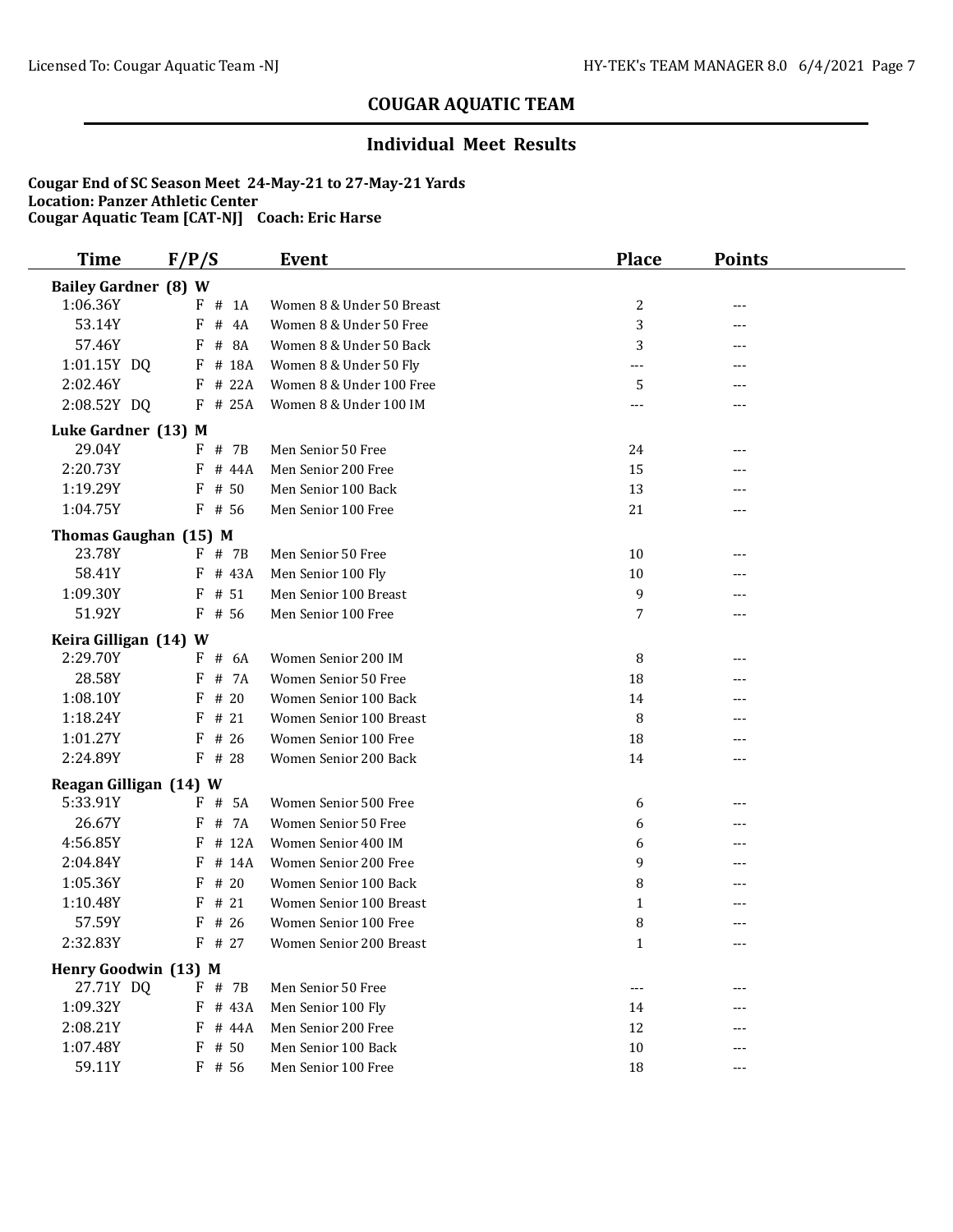### **Individual Meet Results**

| <b>Time</b>                 | F/P/S           | <b>Event</b>              | <b>Place</b>        | <b>Points</b> |  |
|-----------------------------|-----------------|---------------------------|---------------------|---------------|--|
| <b>Bailey Gardner (8) W</b> |                 |                           |                     |               |  |
| 1:06.36Y                    | $F$ # 1A        | Women 8 & Under 50 Breast | 2                   | ---           |  |
| 53.14Y                      | F<br># 4A       | Women 8 & Under 50 Free   | 3                   | ---           |  |
| 57.46Y                      | $\#$<br>8A<br>F | Women 8 & Under 50 Back   | 3                   | ---           |  |
| 1:01.15Y DQ                 | # 18A<br>F      | Women 8 & Under 50 Fly    | ---                 | ---           |  |
| 2:02.46Y                    | $F$ # 22A       | Women 8 & Under 100 Free  | 5                   | ---           |  |
| 2:08.52Y DQ                 | F # 25A         | Women 8 & Under 100 IM    | $---$               | $---$         |  |
| Luke Gardner (13) M         |                 |                           |                     |               |  |
| 29.04Y                      | F # 7B          | Men Senior 50 Free        | 24                  | ---           |  |
| 2:20.73Y                    | # 44A<br>F      | Men Senior 200 Free       | 15                  |               |  |
| 1:19.29Y                    | # 50<br>F       | Men Senior 100 Back       | 13                  |               |  |
| 1:04.75Y                    | $F$ # 56        | Men Senior 100 Free       | 21                  | ---           |  |
| Thomas Gaughan (15) M       |                 |                           |                     |               |  |
| 23.78Y                      | F # 7B          | Men Senior 50 Free        | 10                  | ---           |  |
| 58.41Y                      | F # 43A         | Men Senior 100 Fly        | $10\,$              |               |  |
| 1:09.30Y                    | F<br># 51       | Men Senior 100 Breast     | 9                   | ---           |  |
| 51.92Y                      | $F$ # 56        | Men Senior 100 Free       | 7                   | ---           |  |
| Keira Gilligan (14) W       |                 |                           |                     |               |  |
| 2:29.70Y                    | $F$ # 6A        | Women Senior 200 IM       | 8                   |               |  |
| 28.58Y                      | # 7A<br>F       | Women Senior 50 Free      | 18                  | ---           |  |
| 1:08.10Y                    | # 20<br>F       | Women Senior 100 Back     | 14                  | ---           |  |
| 1:18.24Y                    | # 21<br>F       | Women Senior 100 Breast   | 8                   | ---           |  |
| 1:01.27Y                    | # 26<br>F       | Women Senior 100 Free     | 18                  | ---           |  |
| 2:24.89Y                    | $F$ # 28        | Women Senior 200 Back     | 14                  | ---           |  |
| Reagan Gilligan (14) W      |                 |                           |                     |               |  |
| 5:33.91Y                    | # 5A<br>F       | Women Senior 500 Free     | 6                   | ---           |  |
| 26.67Y                      | # 7A<br>F       | Women Senior 50 Free      | 6                   | ---           |  |
| 4:56.85Y                    | # 12A<br>F      | Women Senior 400 IM       | 6                   | ---           |  |
| 2:04.84Y                    | # 14A<br>F      | Women Senior 200 Free     | 9                   |               |  |
| 1:05.36Y                    | # 20<br>F       | Women Senior 100 Back     | 8                   | ---           |  |
| 1:10.48Y                    | # 21<br>F       | Women Senior 100 Breast   | $\mathbf{1}$        |               |  |
| 57.59Y                      | # 26<br>F       | Women Senior 100 Free     | 8                   | ---           |  |
| 2:32.83Y                    | $F$ # 27        | Women Senior 200 Breast   | $\mathbf{1}$        | $---$         |  |
| Henry Goodwin (13) M        |                 |                           |                     |               |  |
| 27.71Y DQ                   | F # 7B          | Men Senior 50 Free        | $\qquad \qquad - -$ | ---           |  |
| 1:09.32Y                    | F # 43A         | Men Senior 100 Fly        | 14                  | ---           |  |
| 2:08.21Y                    | F<br># 44A      | Men Senior 200 Free       | 12                  | ---           |  |
| 1:07.48Y                    | $F$ # 50        | Men Senior 100 Back       | 10                  |               |  |
| 59.11Y                      | $F$ # 56        | Men Senior 100 Free       | 18                  | $---$         |  |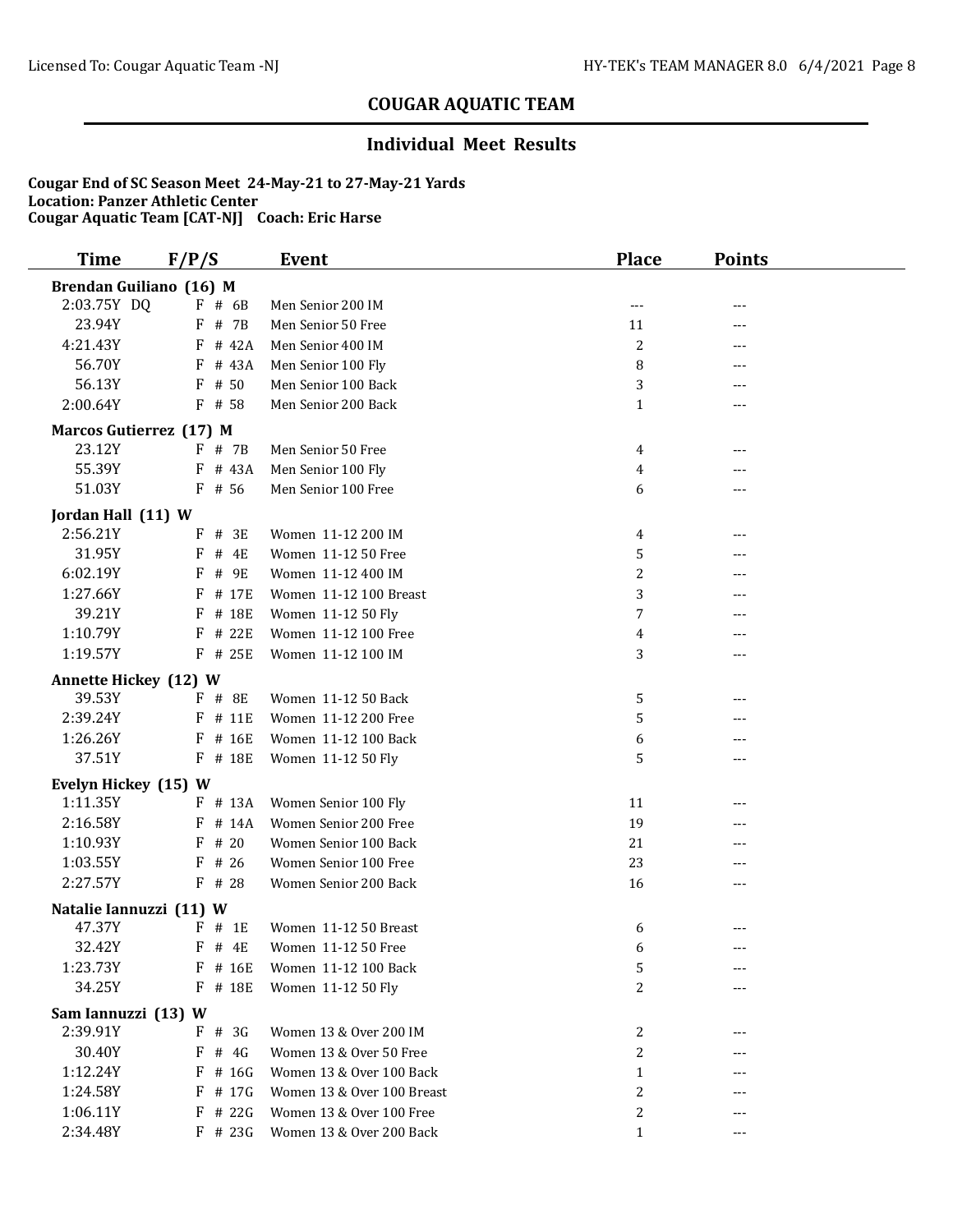### **Individual Meet Results**

| <b>Time</b>                     | F/P/S      | <b>Event</b>               | <b>Place</b>   | <b>Points</b> |  |
|---------------------------------|------------|----------------------------|----------------|---------------|--|
| Brendan Guiliano (16) M         |            |                            |                |               |  |
| 2:03.75Y DQ                     | $F$ # 6B   | Men Senior 200 IM          | ---            | ---           |  |
| 23.94Y                          | $F$ # 7B   | Men Senior 50 Free         | 11             | ---           |  |
| 4:21.43Y                        | # 42A<br>F | Men Senior 400 IM          | $\overline{c}$ | ---           |  |
| 56.70Y                          | F # 43A    | Men Senior 100 Fly         | 8              | ---           |  |
| 56.13Y                          | $F$ # 50   | Men Senior 100 Back        | 3              | ---           |  |
| 2:00.64Y                        | $F$ # 58   | Men Senior 200 Back        | 1              | ---           |  |
| Marcos Gutierrez (17) M         |            |                            |                |               |  |
| 23.12Y                          | $F$ # 7B   | Men Senior 50 Free         | 4              | ---           |  |
| 55.39Y                          | $F$ # 43A  | Men Senior 100 Fly         | 4              | ---           |  |
| 51.03Y                          | $F$ # 56   | Men Senior 100 Free        | 6              | ---           |  |
| Jordan Hall (11) W              |            |                            |                |               |  |
| 2:56.21Y                        | $F$ # 3E   | Women 11-12 200 IM         | 4              | ---           |  |
| 31.95Y                          | $F$ # 4E   | Women 11-12 50 Free        | 5              | ---           |  |
| 6:02.19Y                        | F<br># 9E  | Women 11-12 400 IM         | 2              | ---           |  |
| 1:27.66Y                        | # 17E<br>F | Women 11-12 100 Breast     | 3              | ---           |  |
| 39.21Y                          | # 18E<br>F | Women 11-12 50 Fly         | 7              |               |  |
| 1:10.79Y                        | # 22E<br>F | Women 11-12 100 Free       | 4              |               |  |
| 1:19.57Y                        | $F$ # 25E  | Women 11-12 100 IM         | 3              | ---           |  |
| <b>Annette Hickey (12) W</b>    |            |                            |                |               |  |
| 39.53Y                          | $F$ # 8E   | Women 11-12 50 Back        | 5              | ---           |  |
| 2:39.24Y                        | # 11E<br>F | Women 11-12 200 Free       | 5              | ---           |  |
| 1:26.26Y                        | $F$ # 16E  | Women 11-12 100 Back       | 6              | ---           |  |
| 37.51Y                          | F # 18E    | Women 11-12 50 Fly         | 5              | ---           |  |
| Evelyn Hickey (15) W            |            |                            |                |               |  |
| 1:11.35Y                        | F # 13A    | Women Senior 100 Fly       | 11             | ---           |  |
| 2:16.58Y                        | $F$ # 14A  | Women Senior 200 Free      | 19             |               |  |
| 1:10.93Y                        | $F$ # 20   | Women Senior 100 Back      | 21             |               |  |
| 1:03.55Y                        | $F$ # 26   | Women Senior 100 Free      | 23             | ---           |  |
| 2:27.57Y                        | $F$ # 28   | Women Senior 200 Back      | 16             | ---           |  |
| Natalie Iannuzzi (11) W         |            |                            |                |               |  |
| 47.37Y                          | $F$ # 1E   | Women 11-12 50 Breast      | 6              | ---           |  |
| 32.42Y                          | $F$ # 4E   | Women 11-12 50 Free        | 6              |               |  |
| 1:23.73Y                        | $F$ # 16E  | Women 11-12 100 Back       | 5              | ---           |  |
| 34.25Y                          | F # 18E    | Women 11-12 50 Fly         | 2              | ---           |  |
|                                 |            |                            |                |               |  |
| Sam Iannuzzi (13) W<br>2:39.91Y | $F$ # 3G   | Women 13 & Over 200 IM     |                |               |  |
| 30.40Y                          | F<br># 4G  | Women 13 & Over 50 Free    | 2<br>2         |               |  |
| 1:12.24Y                        | F<br># 16G | Women 13 & Over 100 Back   | $\mathbf{1}$   |               |  |
| 1:24.58Y                        | # 17G<br>F | Women 13 & Over 100 Breast | 2              |               |  |
| 1:06.11Y                        | $F$ # 22G  | Women 13 & Over 100 Free   | 2              |               |  |
| 2:34.48Y                        | $F$ # 23G  | Women 13 & Over 200 Back   | $\mathbf{1}$   | ---           |  |
|                                 |            |                            |                |               |  |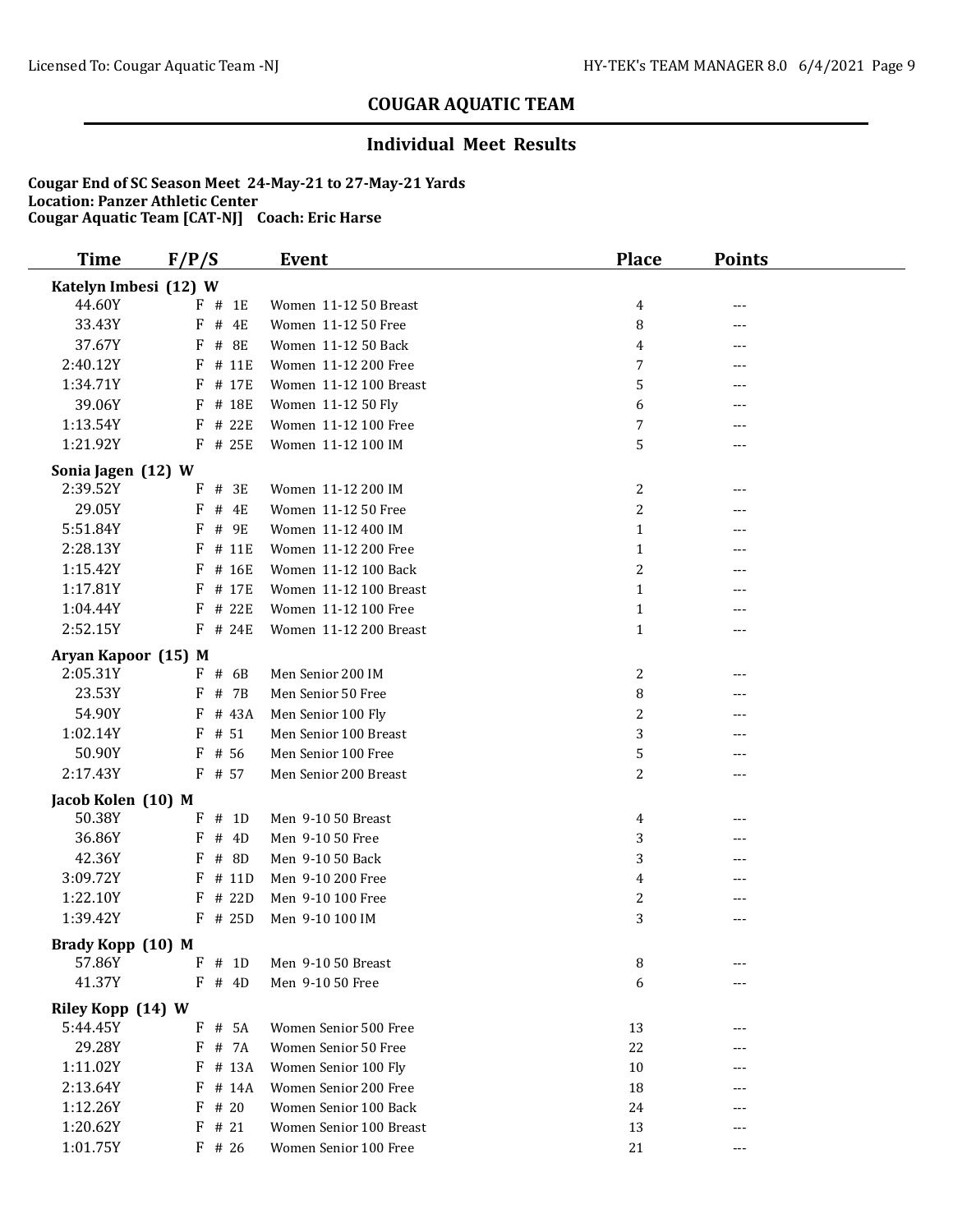### **Individual Meet Results**

| <b>Time</b>                   | F/P/S                  | <b>Event</b>                                  | <b>Place</b>   | <b>Points</b> |  |
|-------------------------------|------------------------|-----------------------------------------------|----------------|---------------|--|
| Katelyn Imbesi (12) W         |                        |                                               |                |               |  |
| 44.60Y                        | $F$ # 1E               | Women 11-12 50 Breast                         | 4              | ---           |  |
| 33.43Y                        | F<br># 4E              | Women 11-12 50 Free                           | 8              | ---           |  |
| 37.67Y                        | F<br># 8E              | Women 11-12 50 Back                           | 4              | ---           |  |
| 2:40.12Y                      | # 11E<br>F             | Women 11-12 200 Free                          | 7              | ---           |  |
| 1:34.71Y                      | F # 17E                | Women 11-12 100 Breast                        | 5              | ---           |  |
| 39.06Y                        | F # 18E                | Women 11-12 50 Fly                            | 6              | ---           |  |
| 1:13.54Y                      | F<br># 22E             | Women 11-12 100 Free                          | 7              | ---           |  |
| 1:21.92Y                      | $F$ # 25E              | Women 11-12 100 IM                            | 5              | ---           |  |
| Sonia Jagen (12) W            |                        |                                               |                |               |  |
| 2:39.52Y                      | $F$ # 3E               | Women 11-12 200 IM                            | 2              |               |  |
| 29.05Y                        | F<br># 4E              | Women 11-12 50 Free                           | 2              | ---           |  |
| 5:51.84Y                      | F # 9E                 | Women 11-12 400 IM                            | $\mathbf{1}$   |               |  |
| 2:28.13Y                      | # 11E<br>F             | Women 11-12 200 Free                          | $\mathbf{1}$   | ---           |  |
| 1:15.42Y                      | F<br># 16E             | Women 11-12 100 Back                          | $\overline{c}$ | ---           |  |
| 1:17.81Y                      | F<br># 17E             | Women 11-12 100 Breast                        | $\mathbf{1}$   | ---           |  |
| 1:04.44Y                      | F<br># 22E             | Women 11-12 100 Free                          | $\mathbf{1}$   | ---           |  |
| 2:52.15Y                      | F # 24E                | Women 11-12 200 Breast                        | $\mathbf{1}$   | ---           |  |
| Aryan Kapoor (15) M           |                        |                                               |                |               |  |
| 2:05.31Y                      | $F$ # 6B               | Men Senior 200 IM                             | 2              | ---           |  |
| 23.53Y                        | # 7B<br>F              | Men Senior 50 Free                            | 8              | ---           |  |
| 54.90Y                        | $F$ # 43A              | Men Senior 100 Fly                            | 2              |               |  |
| 1:02.14Y                      | $F$ # 51               | Men Senior 100 Breast                         | 3              | ---           |  |
| 50.90Y                        | $F$ # 56               | Men Senior 100 Free                           | 5              | ---           |  |
| 2:17.43Y                      | $F$ # 57               | Men Senior 200 Breast                         | 2              | ---           |  |
| Jacob Kolen (10) M            |                        |                                               |                |               |  |
| 50.38Y                        | $F$ # 1D               | Men 9-10 50 Breast                            | 4              | ---           |  |
| 36.86Y                        | # 4D<br>F              | Men 9-10 50 Free                              | 3              | ---           |  |
| 42.36Y                        | # 8D<br>F              | Men 9-10 50 Back                              | 3              |               |  |
| 3:09.72Y                      | # 11D<br>F             | Men 9-10 200 Free                             | 4              |               |  |
| 1:22.10Y                      | # 22D<br>F             | Men 9-10 100 Free                             | $\overline{c}$ |               |  |
| 1:39.42Y                      | $F$ # 25D              | Men 9-10 100 IM                               | 3              | ---           |  |
|                               |                        |                                               |                |               |  |
| Brady Kopp (10) M<br>57.86Y   | $F$ # 1D               | Men 9-10 50 Breast                            | 8              | ---           |  |
| 41.37Y                        | $F$ # 4D               | Men 9-10 50 Free                              | 6              |               |  |
|                               |                        |                                               |                |               |  |
| Riley Kopp (14) W<br>5:44.45Y | # 5A                   | Women Senior 500 Free                         |                |               |  |
| 29.28Y                        | F<br>F # 7A            |                                               | 13             | ---           |  |
|                               |                        | Women Senior 50 Free                          | 22             |               |  |
| 1:11.02Y<br>2:13.64Y          | $F$ # 13A<br>$F$ # 14A | Women Senior 100 Fly<br>Women Senior 200 Free | 10             |               |  |
| 1:12.26Y                      | $F$ # 20               | Women Senior 100 Back                         | 18             |               |  |
| 1:20.62Y                      | $F$ # 21               | Women Senior 100 Breast                       | 24<br>13       |               |  |
| 1:01.75Y                      |                        | Women Senior 100 Free                         |                | ---           |  |
|                               | $F$ # 26               |                                               | 21             | ---           |  |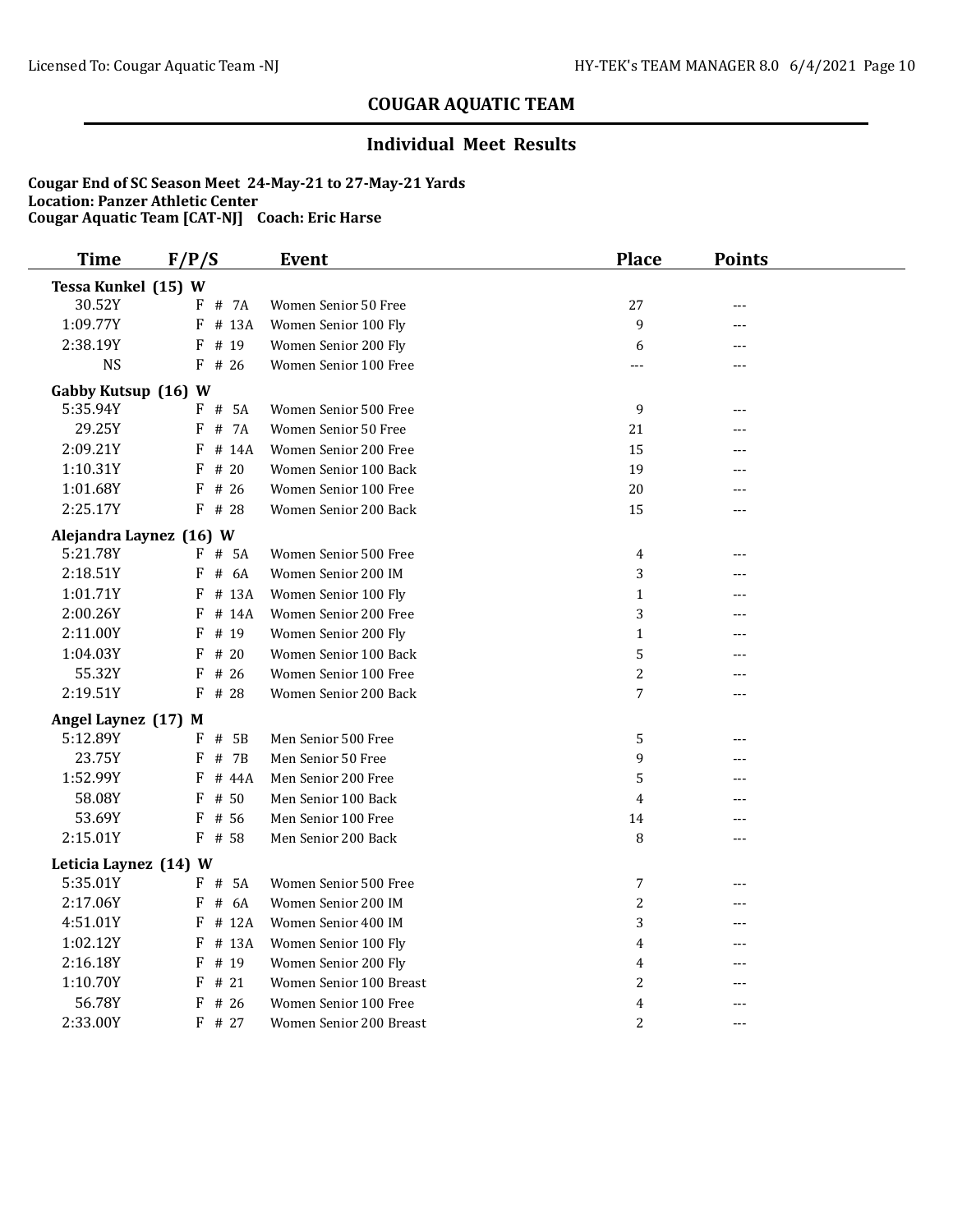### **Individual Meet Results**

| <b>Time</b>             | F/P/S       | <b>Event</b>            | <b>Place</b>   | <b>Points</b> |  |
|-------------------------|-------------|-------------------------|----------------|---------------|--|
| Tessa Kunkel (15) W     |             |                         |                |               |  |
| 30.52Y                  | # 7A<br>F   | Women Senior 50 Free    | 27             | ---           |  |
| 1:09.77Y                | # 13A<br>F  | Women Senior 100 Fly    | 9              | ---           |  |
| 2:38.19Y                | # 19<br>F   | Women Senior 200 Fly    | 6              | ---           |  |
| <b>NS</b>               | $F$ # 26    | Women Senior 100 Free   | ---            | ---           |  |
| Gabby Kutsup (16) W     |             |                         |                |               |  |
| 5:35.94Y                | $F$ # 5A    | Women Senior 500 Free   | 9              | ---           |  |
| 29.25Y                  | # 7A<br>F   | Women Senior 50 Free    | 21             | ---           |  |
| 2:09.21Y                | # 14A<br>F  | Women Senior 200 Free   | 15             | ---           |  |
| 1:10.31Y                | # $20$<br>F | Women Senior 100 Back   | 19             | ---           |  |
| 1:01.68Y                | $F$ # 26    | Women Senior 100 Free   | 20             |               |  |
| 2:25.17Y                | $F$ # 28    | Women Senior 200 Back   | 15             | ---           |  |
| Alejandra Laynez (16) W |             |                         |                |               |  |
| 5:21.78Y                | $F$ # 5A    | Women Senior 500 Free   | $\overline{4}$ | $---$         |  |
| 2:18.51Y                | # $6A$<br>F | Women Senior 200 IM     | 3              | ---           |  |
| 1:01.71Y                | # 13A<br>F  | Women Senior 100 Fly    | $\mathbf{1}$   | ---           |  |
| 2:00.26Y                | F<br># 14A  | Women Senior 200 Free   | 3              |               |  |
| 2:11.00Y                | # 19<br>F   | Women Senior 200 Fly    | $\mathbf{1}$   | ---           |  |
| 1:04.03Y                | F<br>#20    | Women Senior 100 Back   | 5              | ---           |  |
| 55.32Y                  | # 26<br>F   | Women Senior 100 Free   | $\overline{c}$ | ---           |  |
| 2:19.51Y                | F<br># 28   | Women Senior 200 Back   | $\overline{7}$ | ---           |  |
| Angel Laynez (17) M     |             |                         |                |               |  |
| 5:12.89Y                | $F$ # 5B    | Men Senior 500 Free     | 5              | ---           |  |
| 23.75Y                  | F<br># 7B   | Men Senior 50 Free      | 9              | ---           |  |
| 1:52.99Y                | F<br># 44A  | Men Senior 200 Free     | 5              | ---           |  |
| 58.08Y                  | F<br># 50   | Men Senior 100 Back     | 4              | ---           |  |
| 53.69Y                  | # 56<br>F   | Men Senior 100 Free     | 14             | ---           |  |
| 2:15.01Y                | $F$ # 58    | Men Senior 200 Back     | 8              |               |  |
| Leticia Laynez (14) W   |             |                         |                |               |  |
| 5:35.01Y                | F # 5A      | Women Senior 500 Free   | $\overline{7}$ | ---           |  |
| 2:17.06Y                | # 6A<br>F   | Women Senior 200 IM     | $\overline{c}$ | ---           |  |
| 4:51.01Y                | # 12A<br>F  | Women Senior 400 IM     | 3              | ---           |  |
| 1:02.12Y                | # 13A<br>F  | Women Senior 100 Fly    | 4              |               |  |
| 2:16.18Y                | F<br># 19   | Women Senior 200 Fly    | $\overline{4}$ | ---           |  |
| 1:10.70Y                | # 21<br>F   | Women Senior 100 Breast | $\overline{c}$ | ---           |  |
| 56.78Y                  | F<br># 26   | Women Senior 100 Free   | 4              | ---           |  |
| 2:33.00Y                | F # 27      | Women Senior 200 Breast | 2              | $- - -$       |  |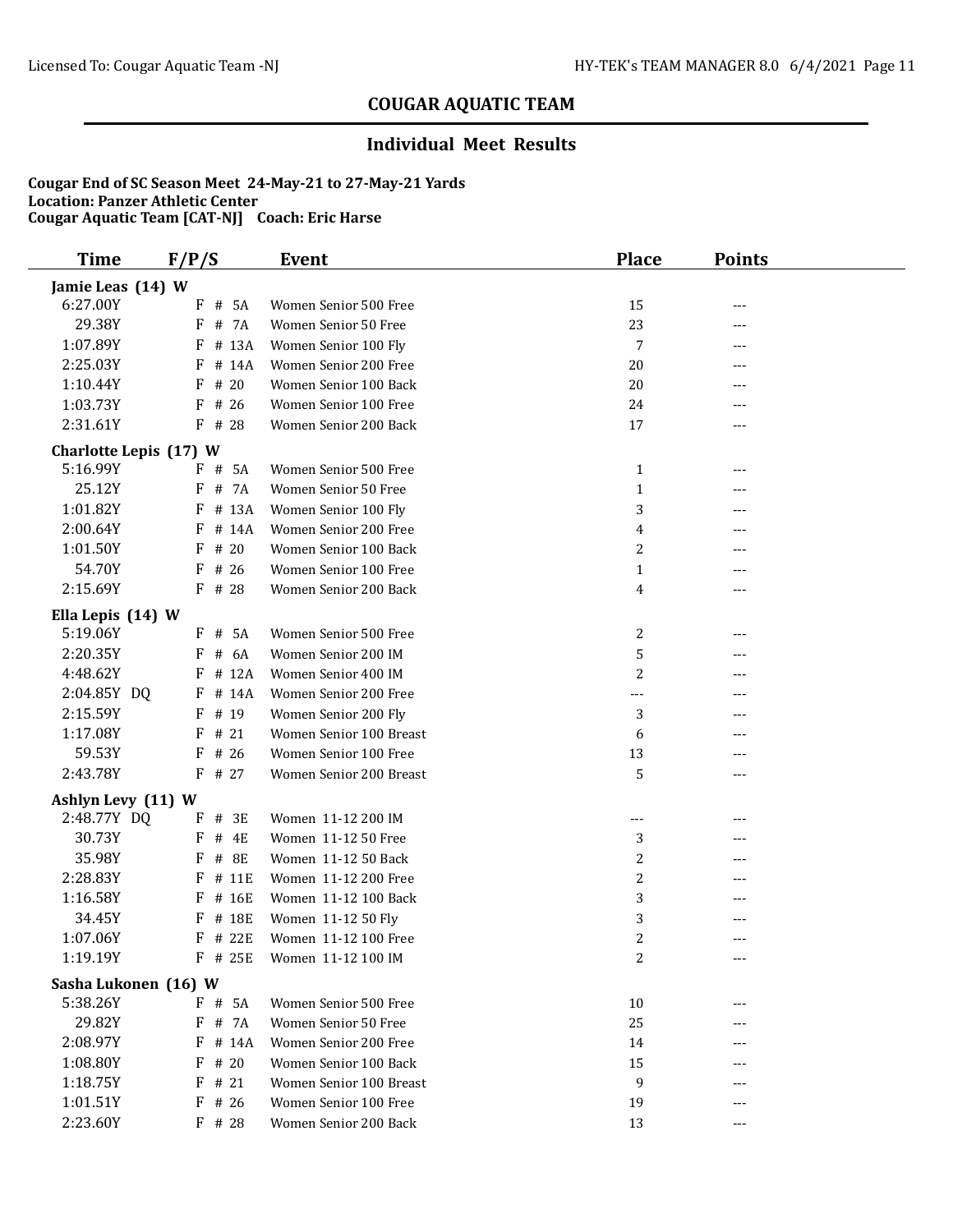### **Individual Meet Results**

| <b>Time</b>            | F/P/S           | <b>Event</b>            | <b>Place</b>     | <b>Points</b> |  |
|------------------------|-----------------|-------------------------|------------------|---------------|--|
| Jamie Leas (14) W      |                 |                         |                  |               |  |
| 6:27.00Y               | $F$ # 5A        | Women Senior 500 Free   | 15               | ---           |  |
| 29.38Y                 | # 7A<br>F       | Women Senior 50 Free    | 23               | ---           |  |
| 1:07.89Y               | # 13A<br>F      | Women Senior 100 Fly    | 7                | ---           |  |
| 2:25.03Y               | # 14A<br>F      | Women Senior 200 Free   | 20               | ---           |  |
| 1:10.44Y               | # 20<br>F       | Women Senior 100 Back   | 20               | ---           |  |
| 1:03.73Y               | $F$ # 26        | Women Senior 100 Free   | 24               |               |  |
| 2:31.61Y               | $F$ # 28        | Women Senior 200 Back   | 17               | ---           |  |
| Charlotte Lepis (17) W |                 |                         |                  |               |  |
| 5:16.99Y               | $F$ # 5A        | Women Senior 500 Free   | $\mathbf{1}$     | ---           |  |
| 25.12Y                 | F<br># 7A       | Women Senior 50 Free    | $\mathbf{1}$     | ---           |  |
| 1:01.82Y               | # 13A<br>F      | Women Senior 100 Fly    | 3                | ---           |  |
| 2:00.64Y               | # 14A<br>F      | Women Senior 200 Free   | 4                | ---           |  |
| 1:01.50Y               | # 20<br>F       | Women Senior 100 Back   | $\boldsymbol{2}$ | ---           |  |
| 54.70Y                 | # 26<br>F       | Women Senior 100 Free   | $\mathbf{1}$     | ---           |  |
| 2:15.69Y               | $F$ # 28        | Women Senior 200 Back   | 4                | ---           |  |
| Ella Lepis (14) W      |                 |                         |                  |               |  |
| 5:19.06Y               | # 5A<br>F       | Women Senior 500 Free   | 2                | ---           |  |
| 2:20.35Y               | # 6A<br>F       | Women Senior 200 IM     | 5                | ---           |  |
| 4:48.62Y               | # 12A<br>F      | Women Senior 400 IM     | $\overline{c}$   | ---           |  |
| 2:04.85Y DQ            | $F$ # 14A       | Women Senior 200 Free   | $---$            | ---           |  |
| 2:15.59Y               | F<br># 19       | Women Senior 200 Fly    | 3                | ---           |  |
| 1:17.08Y               | $F$ # 21        | Women Senior 100 Breast | 6                | ---           |  |
| 59.53Y                 | F<br># 26       | Women Senior 100 Free   | 13               | ---           |  |
| 2:43.78Y               | # 27<br>F       | Women Senior 200 Breast | 5                | ---           |  |
| Ashlyn Levy (11) W     |                 |                         |                  |               |  |
| 2:48.77Y DQ            | F<br>#<br>3E    | Women 11-12 200 IM      | $---$            | ---           |  |
| 30.73Y                 | F<br>$\#$<br>4E | Women 11-12 50 Free     | 3                | ---           |  |
| 35.98Y                 | F<br>$\#$<br>8E | Women 11-12 50 Back     | $\overline{c}$   | ---           |  |
| 2:28.83Y               | # 11E<br>F      | Women 11-12 200 Free    | $\overline{c}$   | ---           |  |
| 1:16.58Y               | # 16E<br>F      | Women 11-12 100 Back    | 3                | ---           |  |
| 34.45Y                 | # 18E<br>F      | Women 11-12 50 Fly      | 3                |               |  |
| 1:07.06Y               | $F$ # 22E       | Women 11-12 100 Free    | 2                | ---           |  |
| 1:19.19Y               | $F$ # 25E       | Women 11-12 100 IM      | 2                | ---           |  |
| Sasha Lukonen (16) W   |                 |                         |                  |               |  |
| 5:38.26Y               | $F$ # 5A        | Women Senior 500 Free   | 10               |               |  |
| 29.82Y                 | F # 7A          | Women Senior 50 Free    | 25               | ---           |  |
| 2:08.97Y               | F<br># 14A      | Women Senior 200 Free   | 14               |               |  |
| 1:08.80Y               | # 20<br>F       | Women Senior 100 Back   | 15               |               |  |
| 1:18.75Y               | # 21<br>F       | Women Senior 100 Breast | 9                |               |  |
| 1:01.51Y               | $F$ # 26        | Women Senior 100 Free   | 19               |               |  |
| 2:23.60Y               | $F$ # 28        | Women Senior 200 Back   | 13               | ---           |  |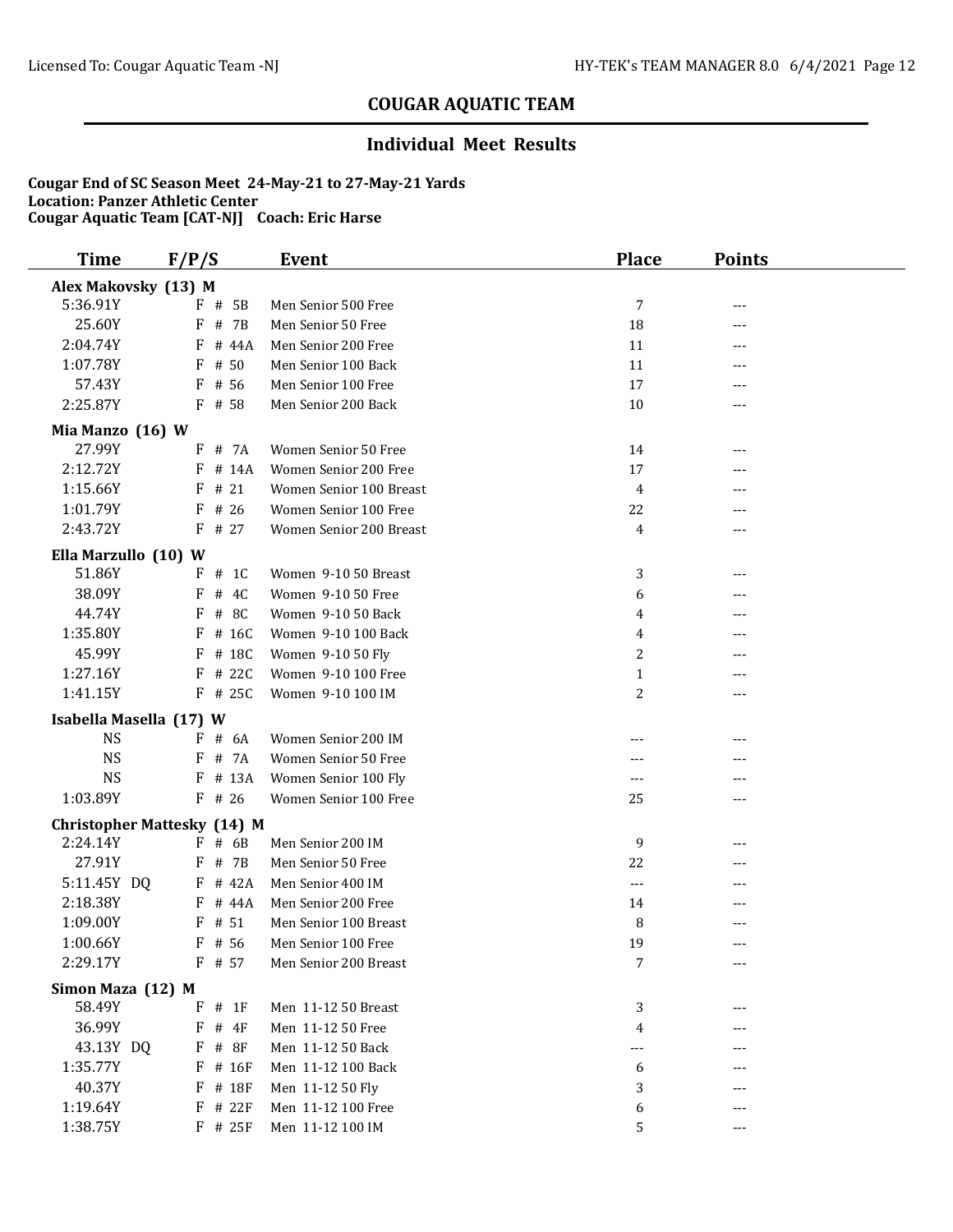### **Individual Meet Results**

| <b>Time</b>             | F/P/S                              | Event                   | <b>Place</b>   | <b>Points</b> |  |
|-------------------------|------------------------------------|-------------------------|----------------|---------------|--|
| Alex Makovsky (13) M    |                                    |                         |                |               |  |
| 5:36.91Y                | $F$ # 5B                           | Men Senior 500 Free     | 7              | ---           |  |
| 25.60Y                  | # 7B<br>F                          | Men Senior 50 Free      | 18             | ---           |  |
| 2:04.74Y                | F<br># 44A                         | Men Senior 200 Free     | 11             | ---           |  |
| 1:07.78Y                | F<br># 50                          | Men Senior 100 Back     | 11             | ---           |  |
| 57.43Y                  | $F$ # 56                           | Men Senior 100 Free     | 17             | ---           |  |
| 2:25.87Y                | F # 58                             | Men Senior 200 Back     | 10             | ---           |  |
| Mia Manzo (16) W        |                                    |                         |                |               |  |
| 27.99Y                  | F # 7A                             | Women Senior 50 Free    | 14             | ---           |  |
| 2:12.72Y                | $F$ # 14A                          | Women Senior 200 Free   | 17             |               |  |
| 1:15.66Y                | $F$ # 21                           | Women Senior 100 Breast | 4              | ---           |  |
| 1:01.79Y                | $F$ # 26                           | Women Senior 100 Free   | 22             | ---           |  |
| 2:43.72Y                | $F$ # 27                           | Women Senior 200 Breast | 4              | ---           |  |
| Ella Marzullo (10) W    |                                    |                         |                |               |  |
| 51.86Y                  | $F$ # 1C                           | Women 9-10 50 Breast    | 3              | ---           |  |
| 38.09Y                  | # 4C<br>F                          | Women 9-10 50 Free      | 6              | ---           |  |
| 44.74Y                  | # 8C<br>F                          | Women 9-10 50 Back      | 4              |               |  |
| 1:35.80Y                | # 16C<br>F                         | Women 9-10 100 Back     | 4              |               |  |
| 45.99Y                  | # 18C<br>F                         | Women 9-10 50 Fly       | $\overline{2}$ |               |  |
| 1:27.16Y                | $F$ # 22C                          | Women 9-10 100 Free     | $\mathbf{1}$   | ---           |  |
| 1:41.15Y                | $F$ # 25C                          | Women 9-10 100 IM       | 2              | ---           |  |
| Isabella Masella (17) W |                                    |                         |                |               |  |
| <b>NS</b>               | $F$ # 6A                           | Women Senior 200 IM     | ---            | ---           |  |
| <b>NS</b>               | F # 7A                             | Women Senior 50 Free    |                |               |  |
| <b>NS</b>               | # 13A<br>F                         | Women Senior 100 Fly    | ---            | ---           |  |
| 1:03.89Y                | $F$ # 26                           | Women Senior 100 Free   | 25             | ---           |  |
|                         | <b>Christopher Mattesky (14) M</b> |                         |                |               |  |
| 2:24.14Y                | $F$ # 6B                           | Men Senior 200 IM       | 9              |               |  |
| 27.91Y                  | $F$ # 7B                           | Men Senior 50 Free      | 22             | ---           |  |
| 5:11.45Y DQ             | $F$ # 42A                          | Men Senior 400 IM       | ---            |               |  |
| 2:18.38Y                | $F$ # 44A                          | Men Senior 200 Free     | 14             | ---           |  |
| 1:09.00Y                | # 51<br>F                          | Men Senior 100 Breast   | 8              | ---           |  |
| 1:00.66Y                | $F$ # 56                           | Men Senior 100 Free     | 19             | ---           |  |
| 2:29.17Y                | $F$ # 57                           | Men Senior 200 Breast   | 7              | ---           |  |
| Simon Maza (12) M       |                                    |                         |                |               |  |
| 58.49Y                  | $#$ 1F<br>F                        | Men 11-12 50 Breast     | 3              | ---           |  |
| 36.99Y                  | F<br>$#$ 4F                        | Men 11-12 50 Free       | 4              |               |  |
| 43.13Y DQ               | $F$ # 8F                           | Men 11-12 50 Back       | ---            |               |  |
| 1:35.77Y                | F<br># 16F                         | Men 11-12 100 Back      | 6              |               |  |
| 40.37Y                  | F # 18F                            | Men 11-12 50 Fly        | 3              |               |  |
| 1:19.64Y                | # 22F<br>F                         | Men 11-12 100 Free      | 6              |               |  |
| 1:38.75Y                | F # 25F                            | Men 11-12 100 IM        | 5              | ---           |  |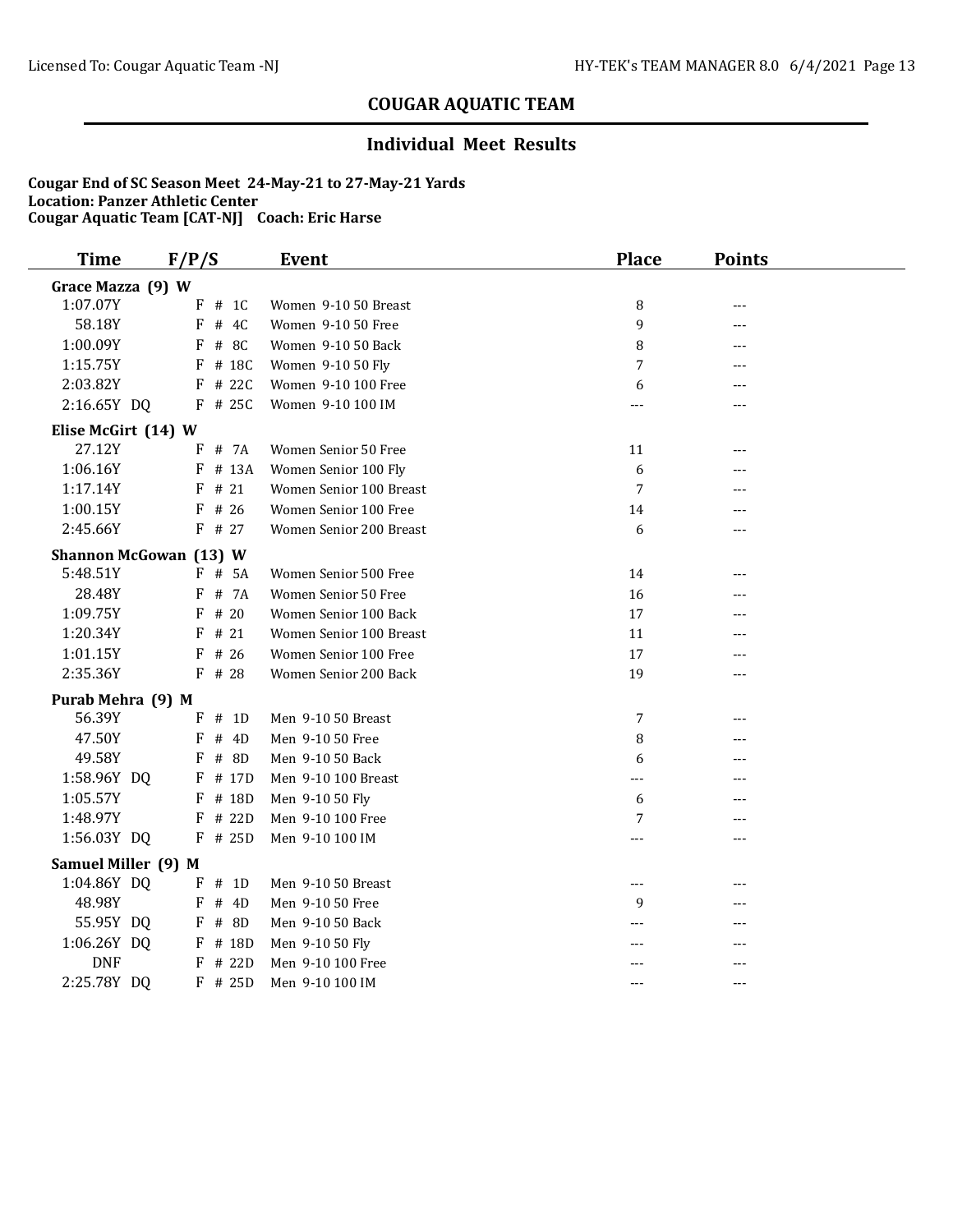### **Individual Meet Results**

| <b>Time</b>                   | F/P/S |           | <b>Event</b>            | <b>Place</b> | <b>Points</b> |  |
|-------------------------------|-------|-----------|-------------------------|--------------|---------------|--|
| Grace Mazza (9) W             |       |           |                         |              |               |  |
| 1:07.07Y                      |       | $F$ # 1C  | Women 9-10 50 Breast    | 8            | ---           |  |
| 58.18Y                        | F     | # 4C      | Women 9-10 50 Free      | 9            | ---           |  |
| 1:00.09Y                      | F     | # 8C      | Women 9-10 50 Back      | 8            | ---           |  |
| 1:15.75Y                      |       | $F$ # 18C | Women 9-10 50 Fly       | 7            |               |  |
| 2:03.82Y                      |       | $F$ # 22C | Women 9-10 100 Free     | 6            | ---           |  |
| 2:16.65Y DQ                   |       | $F$ # 25C | Women 9-10 100 IM       | $---$        | ---           |  |
| Elise McGirt (14) W           |       |           |                         |              |               |  |
| 27.12Y                        |       | $F$ # 7A  | Women Senior 50 Free    | 11           | ---           |  |
| 1:06.16Y                      |       | F # 13A   | Women Senior 100 Fly    | 6            | ---           |  |
| 1:17.14Y                      |       | $F$ # 21  | Women Senior 100 Breast | 7            | ---           |  |
| 1:00.15Y                      |       | $F$ # 26  | Women Senior 100 Free   | 14           | ---           |  |
| 2:45.66Y                      |       | $F$ # 27  | Women Senior 200 Breast | 6            | ---           |  |
| <b>Shannon McGowan (13) W</b> |       |           |                         |              |               |  |
| 5:48.51Y                      |       | $F$ # 5A  | Women Senior 500 Free   | 14           | ---           |  |
| 28.48Y                        |       | F # 7A    | Women Senior 50 Free    | 16           | ---           |  |
| 1:09.75Y                      |       | $F$ # 20  | Women Senior 100 Back   | 17           | ---           |  |
| 1:20.34Y                      |       | $F$ # 21  | Women Senior 100 Breast | 11           | ---           |  |
| 1:01.15Y                      |       | $F$ # 26  | Women Senior 100 Free   | 17           | ---           |  |
| 2:35.36Y                      |       | $F$ # 28  | Women Senior 200 Back   | 19           | ---           |  |
| Purab Mehra (9) M             |       |           |                         |              |               |  |
| 56.39Y                        | F     | # 1D      | Men 9-10 50 Breast      | 7            | ---           |  |
| 47.50Y                        | F     | # 4D      | Men 9-10 50 Free        | 8            | ---           |  |
| 49.58Y                        | F     | # 8D      | Men 9-10 50 Back        | 6            | ---           |  |
| 1:58.96Y DQ                   |       | $F$ # 17D | Men 9-10 100 Breast     | $---$        | ---           |  |
| 1:05.57Y                      | F     | # 18D     | Men 9-10 50 Fly         | 6            | ---           |  |
| 1:48.97Y                      | F     | # 22D     | Men 9-10 100 Free       | 7            | ---           |  |
| 1:56.03Y DQ                   |       | $F$ # 25D | Men 9-10 100 IM         |              | ---           |  |
| Samuel Miller (9) M           |       |           |                         |              |               |  |
| 1:04.86Y DQ                   |       | $F$ # 1D  | Men 9-10 50 Breast      | $---$        |               |  |
| 48.98Y                        |       | $F$ # 4D  | Men 9-10 50 Free        | 9            | ---           |  |
| 55.95Y DQ                     |       | $F$ # 8D  | Men 9-10 50 Back        |              | ---           |  |
| 1:06.26Y DQ                   |       | F # 18D   | Men 9-10 50 Fly         |              | ---           |  |
| <b>DNF</b>                    |       | $F$ # 22D | Men 9-10 100 Free       |              | ---           |  |
| 2:25.78Y DQ                   |       | $F$ # 25D | Men 9-10 100 IM         | $---$        | $---$         |  |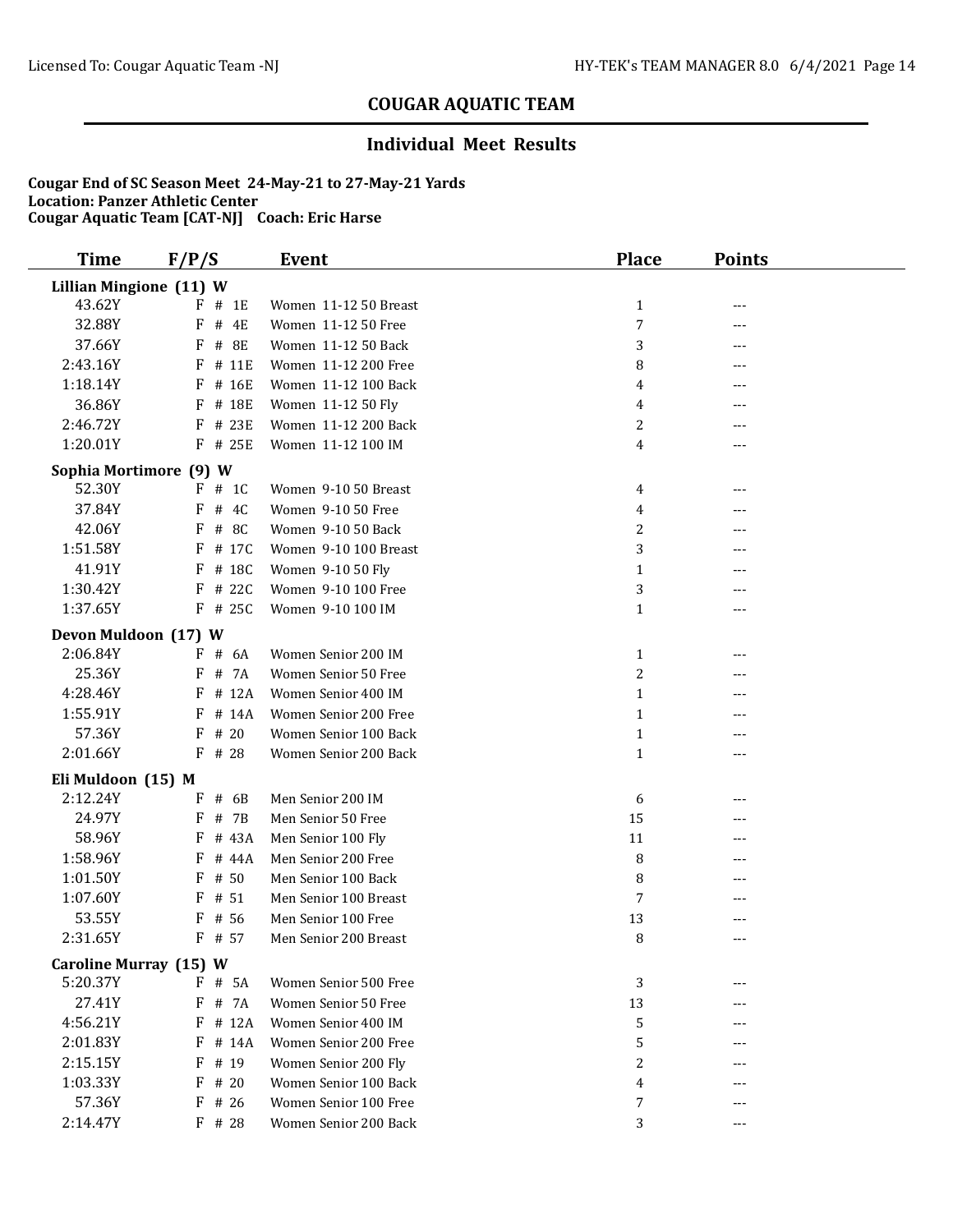### **Individual Meet Results**

| <b>Time</b>                    | F/P/S           | <b>Event</b>          | <b>Place</b>   | <b>Points</b> |  |  |  |
|--------------------------------|-----------------|-----------------------|----------------|---------------|--|--|--|
| <b>Lillian Mingione (11) W</b> |                 |                       |                |               |  |  |  |
| 43.62Y                         | $F$ # 1E        | Women 11-12 50 Breast | $\mathbf{1}$   | ---           |  |  |  |
| 32.88Y                         | F<br># 4E       | Women 11-12 50 Free   | 7              | ---           |  |  |  |
| 37.66Y                         | F<br>$\#$<br>8E | Women 11-12 50 Back   | 3              | ---           |  |  |  |
| 2:43.16Y                       | # 11E<br>F      | Women 11-12 200 Free  | 8              | ---           |  |  |  |
| 1:18.14Y                       | F<br># 16E      | Women 11-12 100 Back  | 4              | ---           |  |  |  |
| 36.86Y                         | F # 18E         | Women 11-12 50 Fly    | 4              | ---           |  |  |  |
| 2:46.72Y                       | F<br># 23E      | Women 11-12 200 Back  | 2              | ---           |  |  |  |
| 1:20.01Y                       | $F$ # 25E       | Women 11-12 100 IM    | 4              | ---           |  |  |  |
| Sophia Mortimore (9) W         |                 |                       |                |               |  |  |  |
| 52.30Y                         | $F$ # 1C        | Women 9-10 50 Breast  | 4              | ---           |  |  |  |
| 37.84Y                         | F<br># 4C       | Women 9-10 50 Free    | 4              | ---           |  |  |  |
| 42.06Y                         | $F$ # 8C        | Women 9-10 50 Back    | 2              | ---           |  |  |  |
| 1:51.58Y                       | # 17C<br>F      | Women 9-10 100 Breast | 3              | ---           |  |  |  |
| 41.91Y                         | F<br># 18C      | Women 9-10 50 Fly     | $\mathbf{1}$   | ---           |  |  |  |
| 1:30.42Y                       | F<br># 22C      | Women 9-10 100 Free   | 3              | ---           |  |  |  |
| 1:37.65Y                       | $F$ # 25C       | Women 9-10 100 IM     | $\mathbf{1}$   | ---           |  |  |  |
| Devon Muldoon (17) W           |                 |                       |                |               |  |  |  |
| 2:06.84Y                       | # 6A<br>F       | Women Senior 200 IM   | $\mathbf{1}$   | ---           |  |  |  |
| 25.36Y                         | # 7A<br>F       | Women Senior 50 Free  | $\overline{c}$ |               |  |  |  |
| 4:28.46Y                       | F<br># 12A      | Women Senior 400 IM   | $\mathbf{1}$   | ---           |  |  |  |
| 1:55.91Y                       | $F$ # 14A       | Women Senior 200 Free | $\mathbf{1}$   |               |  |  |  |
| 57.36Y                         | $F$ # 20        | Women Senior 100 Back | $\mathbf{1}$   | ---           |  |  |  |
| 2:01.66Y                       | $F$ # 28        | Women Senior 200 Back | $\mathbf{1}$   | ---           |  |  |  |
| Eli Muldoon (15) M             |                 |                       |                |               |  |  |  |
| 2:12.24Y                       | $F$ # 6B        | Men Senior 200 IM     | 6              | ---           |  |  |  |
| 24.97Y                         | # 7B<br>F       | Men Senior 50 Free    | 15             | ---           |  |  |  |
| 58.96Y                         | # 43A<br>F      | Men Senior 100 Fly    | 11             | ---           |  |  |  |
| 1:58.96Y                       | # 44A<br>F      | Men Senior 200 Free   | 8              |               |  |  |  |
| 1:01.50Y                       | # 50<br>F       | Men Senior 100 Back   | 8              |               |  |  |  |
| 1:07.60Y                       | # 51<br>F       | Men Senior 100 Breast | 7              |               |  |  |  |
| 53.55Y                         | # 56<br>F       | Men Senior 100 Free   | 13             | ---           |  |  |  |
| 2:31.65Y                       | F # 57          | Men Senior 200 Breast | 8              | ---           |  |  |  |
| Caroline Murray (15) W         |                 |                       |                |               |  |  |  |
| 5:20.37Y                       | # 5A<br>F       | Women Senior 500 Free | 3              | ---           |  |  |  |
| 27.41Y                         | # 7A<br>F       | Women Senior 50 Free  | 13             |               |  |  |  |
| 4:56.21Y                       | # 12A<br>F      | Women Senior 400 IM   | 5              |               |  |  |  |
| 2:01.83Y                       | $F$ # 14A       | Women Senior 200 Free | 5              |               |  |  |  |
| 2:15.15Y                       | F<br># 19       | Women Senior 200 Fly  | 2              | ---           |  |  |  |
| 1:03.33Y                       | # 20<br>F       | Women Senior 100 Back | 4              | ---           |  |  |  |
| 57.36Y                         | F<br># 26       | Women Senior 100 Free | 7              | ---           |  |  |  |
| 2:14.47Y                       | $F$ # 28        | Women Senior 200 Back | 3              | ---           |  |  |  |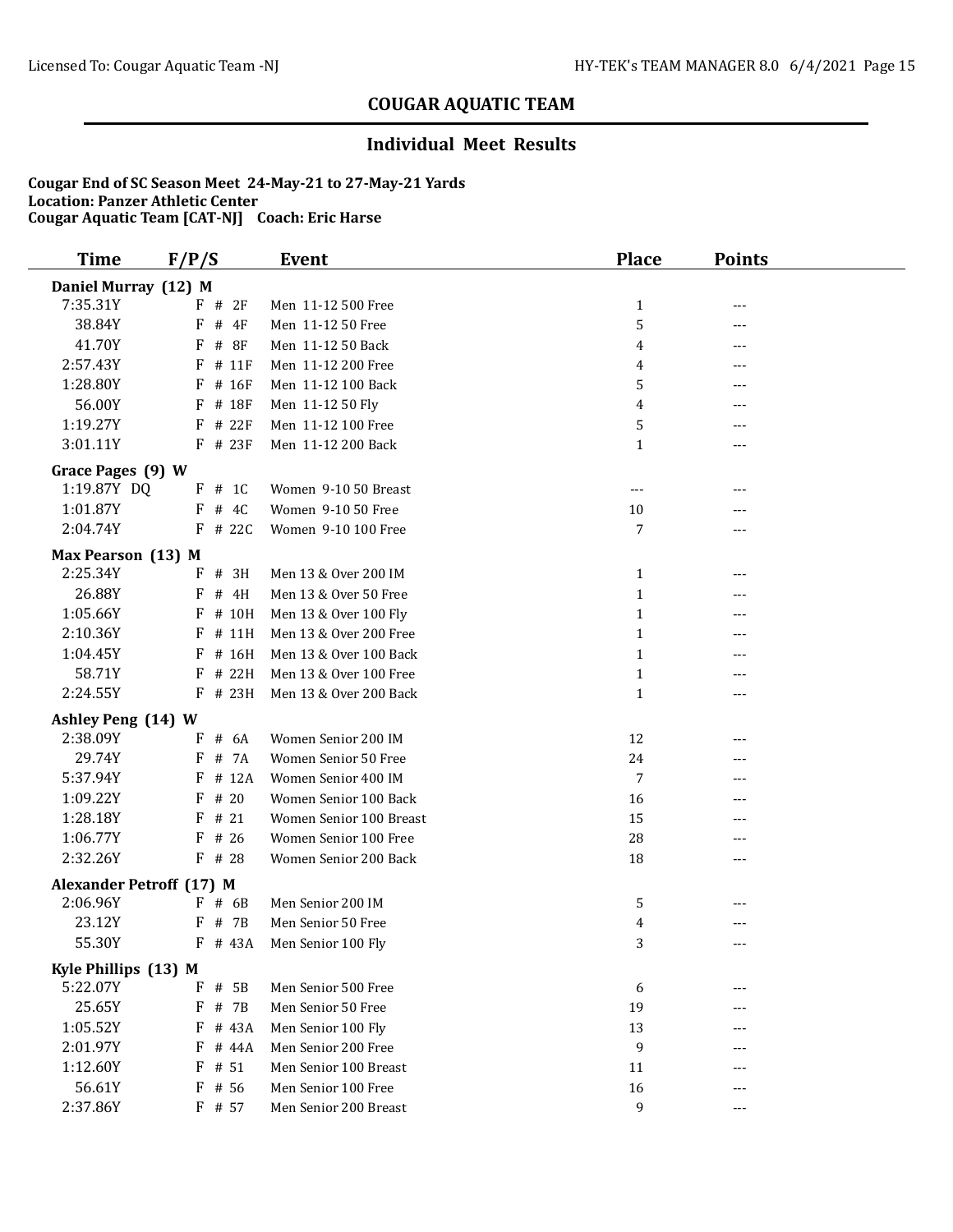### **Individual Meet Results**

| <b>Time</b>                     | F/P/S                | <b>Event</b>            | <b>Place</b>   | <b>Points</b> |  |  |  |  |
|---------------------------------|----------------------|-------------------------|----------------|---------------|--|--|--|--|
|                                 | Daniel Murray (12) M |                         |                |               |  |  |  |  |
| 7:35.31Y                        | F # 2F               | Men 11-12 500 Free      | $\mathbf{1}$   | ---           |  |  |  |  |
| 38.84Y                          | F<br>$#$ 4F          | Men 11-12 50 Free       | 5              | ---           |  |  |  |  |
| 41.70Y                          | F<br># 8F            | Men 11-12 50 Back       | 4              | ---           |  |  |  |  |
| 2:57.43Y                        | # 11F<br>F           | Men 11-12 200 Free      | 4              | ---           |  |  |  |  |
| 1:28.80Y                        | $F$ # 16F            | Men 11-12 100 Back      | 5              | ---           |  |  |  |  |
| 56.00Y                          | F # 18F              | Men 11-12 50 Fly        | 4              | ---           |  |  |  |  |
| 1:19.27Y                        | F<br># 22F           | Men 11-12 100 Free      | 5              | ---           |  |  |  |  |
| 3:01.11Y                        | $F$ # 23F            | Men 11-12 200 Back      | $\mathbf{1}$   | ---           |  |  |  |  |
| Grace Pages (9) W               |                      |                         |                |               |  |  |  |  |
| 1:19.87Y DQ                     | $F$ # 1C             | Women 9-10 50 Breast    | $---$          |               |  |  |  |  |
| 1:01.87Y                        | $F$ # 4C             | Women 9-10 50 Free      | 10             |               |  |  |  |  |
| 2:04.74Y                        | $F$ # 22C            | Women 9-10 100 Free     | $\overline{7}$ | ---           |  |  |  |  |
| Max Pearson (13) M              |                      |                         |                |               |  |  |  |  |
| 2:25.34Y                        | F # 3H               | Men 13 & Over 200 IM    | 1              | ---           |  |  |  |  |
| 26.88Y                          | F<br># 4H            | Men 13 & Over 50 Free   | $\mathbf{1}$   | ---           |  |  |  |  |
| 1:05.66Y                        | # 10H<br>F           | Men 13 & Over 100 Fly   | $\mathbf{1}$   |               |  |  |  |  |
| 2:10.36Y                        | # 11H<br>F           | Men 13 & Over 200 Free  | $\mathbf{1}$   | ---           |  |  |  |  |
| 1:04.45Y                        | # 16H<br>F           | Men 13 & Over 100 Back  | $\mathbf{1}$   |               |  |  |  |  |
| 58.71Y                          | # 22H<br>F           | Men 13 & Over 100 Free  | $\mathbf{1}$   |               |  |  |  |  |
| 2:24.55Y                        | F # 23H              | Men 13 & Over 200 Back  | $\mathbf{1}$   | ---           |  |  |  |  |
| Ashley Peng (14) W              |                      |                         |                |               |  |  |  |  |
| 2:38.09Y                        | # 6A<br>F            | Women Senior 200 IM     | 12             | ---           |  |  |  |  |
| 29.74Y                          | # 7A<br>F            | Women Senior 50 Free    | 24             |               |  |  |  |  |
| 5:37.94Y                        | $F$ # 12A            | Women Senior 400 IM     | 7              | ---           |  |  |  |  |
| 1:09.22Y                        | F<br># 20            | Women Senior 100 Back   | 16             | ---           |  |  |  |  |
| 1:28.18Y                        | F<br># 21            | Women Senior 100 Breast | 15             |               |  |  |  |  |
| 1:06.77Y                        | # 26<br>F            | Women Senior 100 Free   | 28             | ---           |  |  |  |  |
| 2:32.26Y                        | $F$ # 28             | Women Senior 200 Back   | 18             | ---           |  |  |  |  |
| <b>Alexander Petroff (17) M</b> |                      |                         |                |               |  |  |  |  |
| 2:06.96Y                        | $F$ # 6B             | Men Senior 200 IM       | 5              |               |  |  |  |  |
| 23.12Y                          | # 7B<br>F            | Men Senior 50 Free      | 4              | ---           |  |  |  |  |
| 55.30Y                          | $F$ # 43A            | Men Senior 100 Fly      | 3              | $---$         |  |  |  |  |
| Kyle Phillips (13) M            |                      |                         |                |               |  |  |  |  |
| 5:22.07Y                        | # 5B<br>F            | Men Senior 500 Free     | 6              | ---           |  |  |  |  |
| 25.65Y                          | # 7B<br>F            | Men Senior 50 Free      | 19             |               |  |  |  |  |
| 1:05.52Y                        | F<br># 43A           | Men Senior 100 Fly      | 13             |               |  |  |  |  |
| 2:01.97Y                        | F<br># 44A           | Men Senior 200 Free     | 9              |               |  |  |  |  |
| 1:12.60Y                        | $F$ # 51             | Men Senior 100 Breast   | 11             |               |  |  |  |  |
| 56.61Y                          | $F$ # 56             | Men Senior 100 Free     | 16             |               |  |  |  |  |
| 2:37.86Y                        | F # 57               | Men Senior 200 Breast   | 9              | $---$         |  |  |  |  |
|                                 |                      |                         |                |               |  |  |  |  |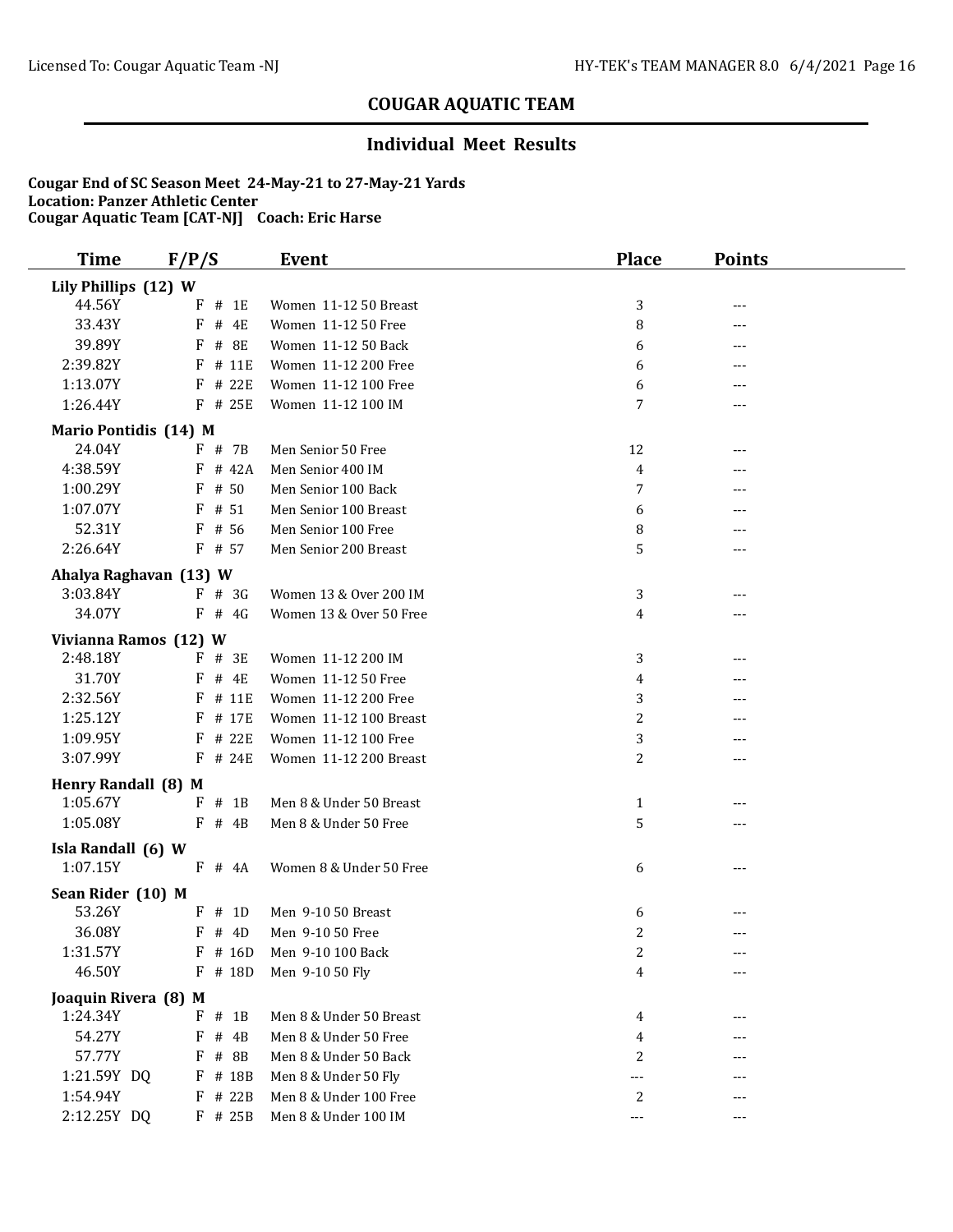### **Individual Meet Results**

| <b>Time</b>            | F/P/S       | <b>Event</b>              | <b>Place</b>            | <b>Points</b>     |  |
|------------------------|-------------|---------------------------|-------------------------|-------------------|--|
| Lily Phillips (12) W   |             |                           |                         |                   |  |
| 44.56Y                 | $F$ # 1E    | Women 11-12 50 Breast     | 3                       | $- - -$           |  |
| 33.43Y                 | F<br># 4E   | Women 11-12 50 Free       | 8                       | ---               |  |
| 39.89Y                 | F<br># 8E   | Women 11-12 50 Back       | 6                       |                   |  |
| 2:39.82Y               | # 11E<br>F  | Women 11-12 200 Free      | 6                       | ---               |  |
| 1:13.07Y               | F # 22E     | Women 11-12 100 Free      | 6                       |                   |  |
| 1:26.44Y               | $F$ # 25E   | Women 11-12 100 IM        | 7                       | $---$             |  |
| Mario Pontidis (14) M  |             |                           |                         |                   |  |
| 24.04Y                 | F # 7B      | Men Senior 50 Free        | 12                      | ---               |  |
| 4:38.59Y               | $F$ # 42A   | Men Senior 400 IM         | 4                       |                   |  |
| 1:00.29Y               | $F$ # 50    | Men Senior 100 Back       | 7                       |                   |  |
| 1:07.07Y               | $F$ # 51    | Men Senior 100 Breast     | 6                       |                   |  |
| 52.31Y                 | $F$ # 56    | Men Senior 100 Free       | 8                       |                   |  |
| 2:26.64Y               | $F$ # 57    | Men Senior 200 Breast     | 5                       | $---$             |  |
| Ahalya Raghavan (13) W |             |                           |                         |                   |  |
| 3:03.84Y               | $F$ # 3G    | Women 13 & Over 200 IM    | 3                       |                   |  |
| 34.07Y                 | $F$ # 4G    | Women 13 & Over 50 Free   | 4                       |                   |  |
| Vivianna Ramos (12) W  |             |                           |                         |                   |  |
| 2:48.18Y               | $F$ # 3E    | Women 11-12 200 IM        | 3                       |                   |  |
| 31.70Y                 | $F$ # 4E    | Women 11-12 50 Free       | 4                       |                   |  |
| 2:32.56Y               | $F$ # 11E   | Women 11-12 200 Free      | 3                       | ---               |  |
| 1:25.12Y               | F # 17E     | Women 11-12 100 Breast    | $\overline{c}$          |                   |  |
| 1:09.95Y               | # 22E<br>F  | Women 11-12 100 Free      | 3                       | $---$             |  |
| 3:07.99Y               | $F$ # 24E   | Women 11-12 200 Breast    | 2                       | $---$             |  |
| Henry Randall (8) M    |             |                           |                         |                   |  |
| 1:05.67Y               | $#$ 1B<br>F | Men 8 & Under 50 Breast   | $\mathbf{1}$            | ---               |  |
| 1:05.08Y               | $F$ # 4B    | Men 8 & Under 50 Free     | 5                       | $- - -$           |  |
| Isla Randall (6) W     |             |                           |                         |                   |  |
| 1:07.15Y               | $F$ # 4A    | Women 8 & Under 50 Free   | 6                       | $---$             |  |
| Sean Rider (10) M      |             |                           |                         |                   |  |
| 53.26Y                 | $F$ # 1D    | Men 9-10 50 Breast        | 6                       |                   |  |
| 36.08Y                 | $F$ # 4D    | Men 9-10 50 Free          | 2                       | $---$             |  |
| 1:31.57Y               |             | F # 16D Men 9-10 100 Back | $\overline{\mathbf{c}}$ | $---$             |  |
| 46.50Y                 | F<br># 18D  | Men 9-10 50 Fly           | 4                       | $\qquad \qquad -$ |  |
| Joaquin Rivera (8) M   |             |                           |                         |                   |  |
| 1:24.34Y               | $#$ 1B<br>F | Men 8 & Under 50 Breast   | 4                       | $---$             |  |
| 54.27Y                 | # 4B<br>F   | Men 8 & Under 50 Free     | 4                       |                   |  |
| 57.77Y                 | # 8B<br>F   | Men 8 & Under 50 Back     | 2                       |                   |  |
| 1:21.59Y DQ            | $F$ # 18B   | Men 8 & Under 50 Fly      | ---                     |                   |  |
| 1:54.94Y               | F # 22B     | Men 8 & Under 100 Free    | 2                       |                   |  |
| 2:12.25Y DQ            | F # 25B     | Men 8 & Under 100 IM      | $\sim$ $\sim$ $\sim$    | $---$             |  |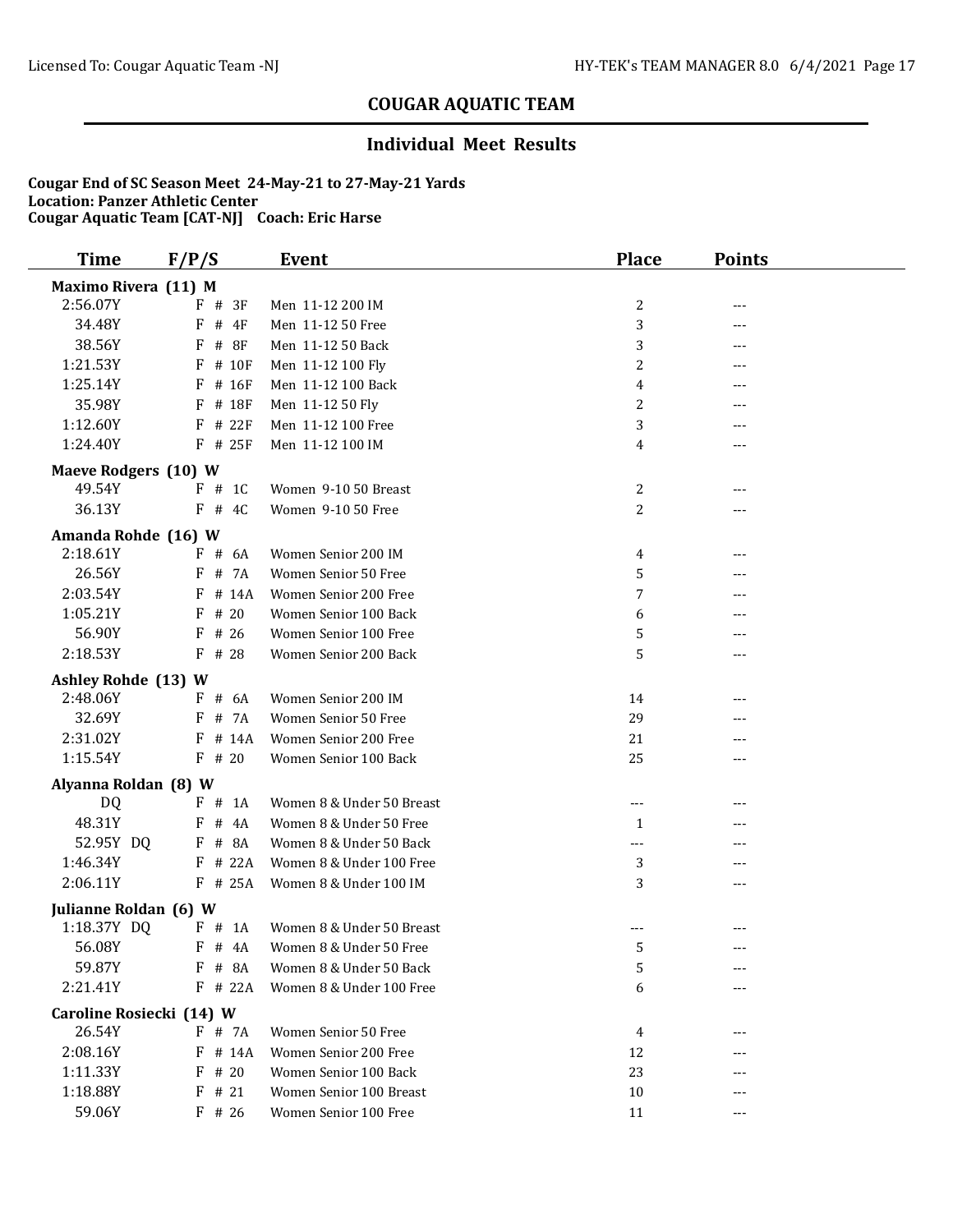### **Individual Meet Results**

| <b>Time</b>                            | F/P/S           | <b>Event</b>              | <b>Place</b>   | <b>Points</b> |  |
|----------------------------------------|-----------------|---------------------------|----------------|---------------|--|
| Maximo Rivera (11) M                   |                 |                           |                |               |  |
| 2:56.07Y                               | $F$ # 3F        | Men 11-12 200 IM          | 2              | ---           |  |
| 34.48Y                                 | # $4F$<br>F     | Men 11-12 50 Free         | 3              | ---           |  |
| 38.56Y                                 | $\#$<br>F<br>8F | Men 11-12 50 Back         | 3              | ---           |  |
| 1:21.53Y                               | F<br># 10F      | Men 11-12 100 Fly         | $\overline{c}$ | ---           |  |
| 1:25.14Y                               | # 16F<br>F      | Men 11-12 100 Back        | 4              | ---           |  |
| 35.98Y                                 | # 18F<br>F      | Men 11-12 50 Fly          | 2              | ---           |  |
| 1:12.60Y                               | $F$ # 22 $F$    | Men 11-12 100 Free        | 3              |               |  |
| 1:24.40Y                               | $F$ # 25F       | Men 11-12 100 IM          | 4              | ---           |  |
| Maeve Rodgers (10) W                   |                 |                           |                |               |  |
| 49.54Y                                 | $F$ # 1C        | Women 9-10 50 Breast      | 2              | ---           |  |
| 36.13Y                                 | $F$ # 4C        | Women 9-10 50 Free        | $\overline{c}$ | ---           |  |
| Amanda Rohde (16) W                    |                 |                           |                |               |  |
| 2:18.61Y                               | $F$ # 6A        | Women Senior 200 IM       | 4              | ---           |  |
| 26.56Y                                 | # 7A<br>F       | Women Senior 50 Free      | 5              | ---           |  |
| 2:03.54Y                               | # 14A<br>F      | Women Senior 200 Free     | 7              | ---           |  |
| 1:05.21Y                               | # 20<br>F       | Women Senior 100 Back     | 6              |               |  |
| 56.90Y                                 | # 26<br>F       | Women Senior 100 Free     | 5              | ---           |  |
| 2:18.53Y                               | $F$ # 28        | Women Senior 200 Back     | 5              | ---           |  |
|                                        |                 |                           |                |               |  |
| <b>Ashley Rohde (13) W</b><br>2:48.06Y | $F$ # 6A        | Women Senior 200 IM       | 14             |               |  |
| 32.69Y                                 | # 7A<br>F       | Women Senior 50 Free      | 29             | ---<br>---    |  |
| 2:31.02Y                               | # 14A<br>F      | Women Senior 200 Free     | 21             |               |  |
| 1:15.54Y                               | $F$ # 20        | Women Senior 100 Back     | 25             | ---           |  |
|                                        |                 |                           |                | ---           |  |
| Alyanna Roldan (8) W                   |                 |                           |                |               |  |
| DQ                                     | F # 1A          | Women 8 & Under 50 Breast | ---            |               |  |
| 48.31Y                                 | #<br>4A<br>F    | Women 8 & Under 50 Free   | $\mathbf{1}$   | ---           |  |
| 52.95Y DQ                              | F # 8A          | Women 8 & Under 50 Back   | $---$          |               |  |
| 1:46.34Y                               | $F$ # 22A       | Women 8 & Under 100 Free  | 3              | ---           |  |
| 2:06.11Y                               | $F$ # 25A       | Women 8 & Under 100 IM    | 3              | ---           |  |
| Julianne Roldan (6) W                  |                 |                           |                |               |  |
| 1:18.37Y DQ                            | $F$ # 1A        | Women 8 & Under 50 Breast | ---            | ---           |  |
| 56.08Y                                 | $F$ # 4A        | Women 8 & Under 50 Free   | 5              |               |  |
| 59.87Y                                 | $F$ # 8A        | Women 8 & Under 50 Back   | 5              | ---           |  |
| 2:21.41Y                               | $F$ # 22A       | Women 8 & Under 100 Free  | 6              |               |  |
| Caroline Rosiecki (14) W               |                 |                           |                |               |  |
| 26.54Y                                 | F # 7A          | Women Senior 50 Free      | 4              |               |  |
| 2:08.16Y                               | # 14A<br>F      | Women Senior 200 Free     | 12             |               |  |
| 1:11.33Y                               | # 20<br>F       | Women Senior 100 Back     | 23             |               |  |
| 1:18.88Y                               | $F$ # 21        | Women Senior 100 Breast   | 10             |               |  |
| 59.06Y                                 | $F$ # 26        | Women Senior 100 Free     | 11             | ---           |  |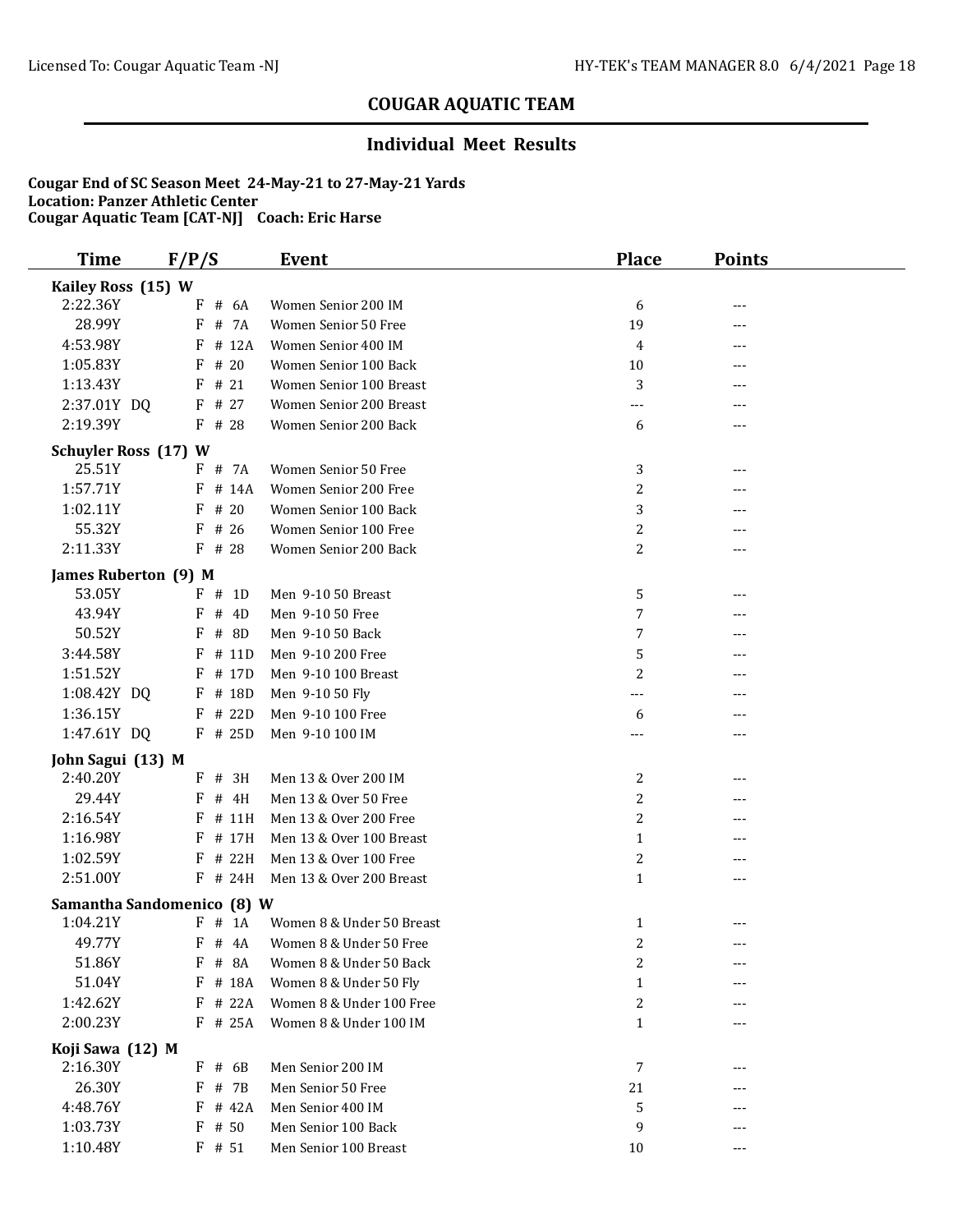### **Individual Meet Results**

| <b>Time</b>                   | F/P/S           | Event                     | <b>Place</b>   | <b>Points</b> |
|-------------------------------|-----------------|---------------------------|----------------|---------------|
| Kailey Ross (15) W            |                 |                           |                |               |
| 2:22.36Y                      | # 6A<br>F       | Women Senior 200 IM       | 6              | ---           |
| 28.99Y                        | # 7A<br>F       | Women Senior 50 Free      | 19             | ---           |
| 4:53.98Y                      | # 12A<br>F      | Women Senior 400 IM       | 4              | ---           |
| 1:05.83Y                      | # 20<br>F       | Women Senior 100 Back     | 10             | ---           |
| 1:13.43Y                      | # 21<br>F       | Women Senior 100 Breast   | 3              | ---           |
| 2:37.01Y DQ                   | $F$ # 27        | Women Senior 200 Breast   | ---            |               |
| 2:19.39Y                      | $F$ # 28        | Women Senior 200 Back     | 6              | ---           |
| <b>Schuyler Ross (17) W</b>   |                 |                           |                |               |
| 25.51Y                        | F # 7A          | Women Senior 50 Free      | 3              |               |
| 1:57.71Y                      | $F$ # 14A       | Women Senior 200 Free     | 2              |               |
| 1:02.11Y                      | $F$ # 20        | Women Senior 100 Back     | 3              |               |
| 55.32Y                        | # 26<br>F       | Women Senior 100 Free     | $\overline{c}$ | ---           |
| 2:11.33Y                      | F # 28          | Women Senior 200 Back     | $\overline{c}$ | ---           |
| James Ruberton (9) M          |                 |                           |                |               |
| 53.05Y                        | $F$ # 1D        | Men 9-10 50 Breast        | 5              | ---           |
| 43.94Y                        | # 4D<br>F       | Men 9-10 50 Free          | 7              |               |
| 50.52Y                        | $\#$<br>8D<br>F | Men 9-10 50 Back          | 7              |               |
| 3:44.58Y                      | # 11D<br>F      | Men 9-10 200 Free         | 5              |               |
| 1:51.52Y                      | $F$ # 17D       | Men 9-10 100 Breast       | 2              |               |
| 1:08.42Y DQ                   | F # 18D         | Men 9-10 50 Fly           | $---$          |               |
| 1:36.15Y                      | $F$ # 22D       | Men 9-10 100 Free         | 6              | ---           |
| 1:47.61Y DQ                   | F # 25D         | Men 9-10 100 IM           | ---            | ---           |
|                               |                 |                           |                |               |
| John Sagui (13) M<br>2:40.20Y | $F$ # 3H        | Men 13 & Over 200 IM      | 2              | ---           |
| 29.44Y                        | # 4H<br>F       | Men 13 & Over 50 Free     | 2              |               |
| 2:16.54Y                      | # 11H<br>F      | Men 13 & Over 200 Free    | $\overline{c}$ | ---           |
| 1:16.98Y                      | # 17H<br>F      | Men 13 & Over 100 Breast  | $\mathbf{1}$   |               |
| 1:02.59Y                      | # 22H<br>F      | Men 13 & Over 100 Free    | $\overline{c}$ | ---           |
| 2:51.00Y                      | F # 24H         | Men 13 & Over 200 Breast  | $\mathbf{1}$   | ---           |
|                               |                 |                           |                |               |
| Samantha Sandomenico (8) W    |                 |                           |                |               |
| 1:04.21Y                      | F<br>$#$ 1A     | Women 8 & Under 50 Breast | 1              | ---           |
| 49.77Y                        | F # 4A          | Women 8 & Under 50 Free   | $\overline{c}$ | $---$         |
| 51.86Y                        | F<br># 8A       | Women 8 & Under 50 Back   | 2              |               |
| 51.04Y                        | F # 18A         | Women 8 & Under 50 Fly    | $\mathbf{1}$   |               |
| 1:42.62Y                      | # 22A<br>F      | Women 8 & Under 100 Free  | 2              |               |
| 2:00.23Y                      | F # 25A         | Women 8 & Under 100 IM    | $\mathbf{1}$   | ---           |
| Koji Sawa (12) M              |                 |                           |                |               |
| 2:16.30Y                      | $F$ # 6B        | Men Senior 200 IM         | 7              | ---           |
| 26.30Y                        | F<br># 7B       | Men Senior 50 Free        | 21             |               |
| 4:48.76Y                      | # 42A<br>F      | Men Senior 400 IM         | 5              |               |
| 1:03.73Y                      | # 50<br>F       | Men Senior 100 Back       | 9              |               |
| 1:10.48Y                      | $F$ # 51        | Men Senior 100 Breast     | 10             | ---           |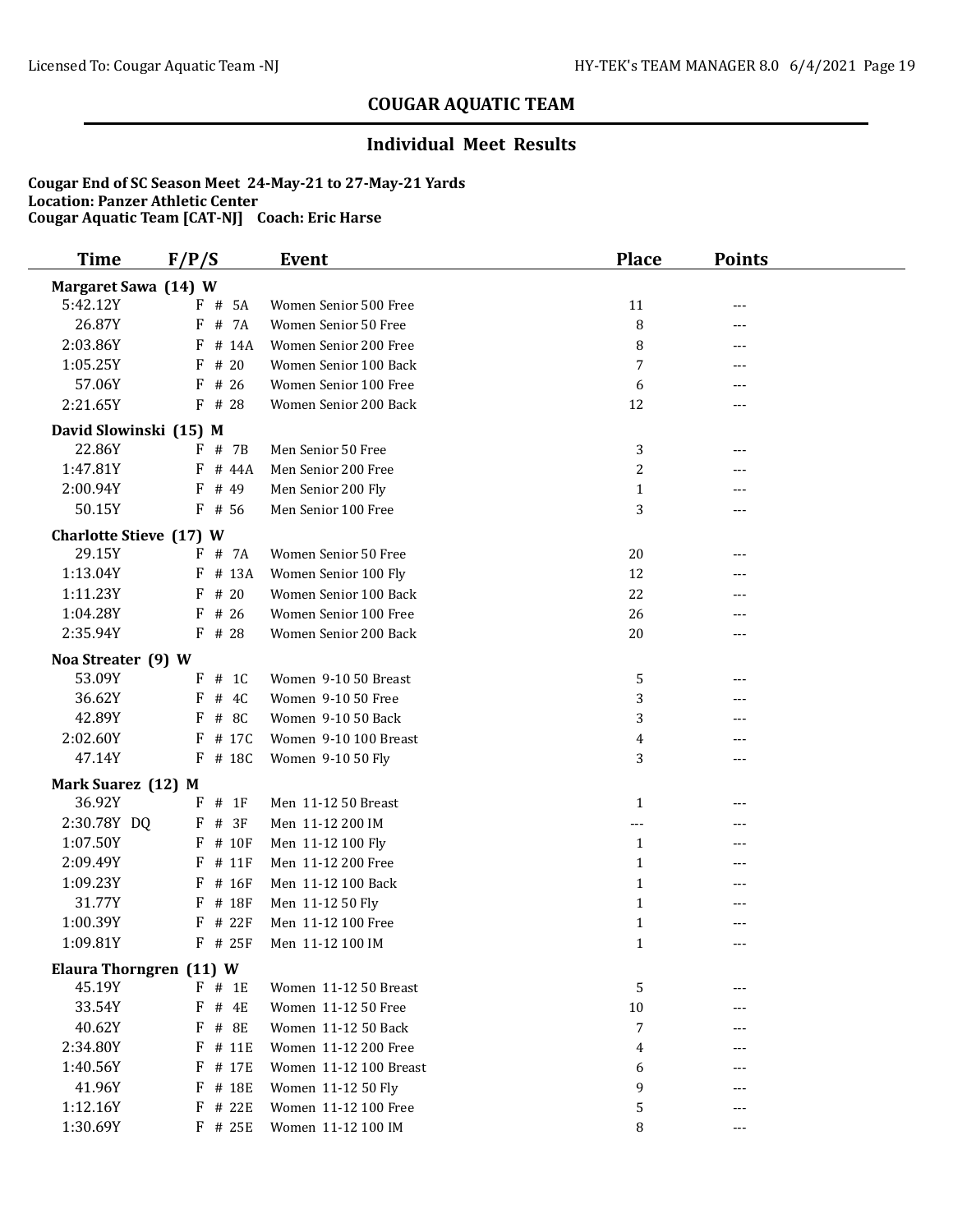### **Individual Meet Results**

| <b>Time</b>                    | F/P/S       | <b>Event</b>           | <b>Place</b>   | <b>Points</b> |  |
|--------------------------------|-------------|------------------------|----------------|---------------|--|
| Margaret Sawa (14) W           |             |                        |                |               |  |
| 5:42.12Y                       | F # 5A      | Women Senior 500 Free  | 11             | ---           |  |
| 26.87Y                         | # 7A<br>F   | Women Senior 50 Free   | 8              | ---           |  |
| 2:03.86Y                       | F<br># 14A  | Women Senior 200 Free  | 8              | ---           |  |
| 1:05.25Y                       | # 20<br>F   | Women Senior 100 Back  | 7              | ---           |  |
| 57.06Y                         | $F$ # 26    | Women Senior 100 Free  | 6              | ---           |  |
| 2:21.65Y                       | $F$ # 28    | Women Senior 200 Back  | 12             | ---           |  |
| David Slowinski (15) M         |             |                        |                |               |  |
| 22.86Y                         | $F$ # 7B    | Men Senior 50 Free     | 3              | ---           |  |
| 1:47.81Y                       | $F$ # 44A   | Men Senior 200 Free    | $\overline{c}$ | ---           |  |
| 2:00.94Y                       | F<br># 49   | Men Senior 200 Fly     | $\mathbf{1}$   | ---           |  |
| 50.15Y                         | $F$ # 56    | Men Senior 100 Free    | 3              | ---           |  |
| <b>Charlotte Stieve (17) W</b> |             |                        |                |               |  |
| 29.15Y                         | F # 7A      | Women Senior 50 Free   | 20             | ---           |  |
| 1:13.04Y                       | F # 13A     | Women Senior 100 Fly   | 12             | ---           |  |
| 1:11.23Y                       | # 20<br>F   | Women Senior 100 Back  | 22             |               |  |
| 1:04.28Y                       | # 26<br>F   | Women Senior 100 Free  | 26             | ---           |  |
| 2:35.94Y                       | $F$ # 28    | Women Senior 200 Back  | 20             | ---           |  |
| Noa Streater (9) W             |             |                        |                |               |  |
| 53.09Y                         | $F$ # 1C    | Women 9-10 50 Breast   | 5              | ---           |  |
| 36.62Y                         | # $4C$<br>F | Women 9-10 50 Free     | 3              | ---           |  |
| 42.89Y                         | # 8C<br>F   | Women 9-10 50 Back     | 3              | ---           |  |
| 2:02.60Y                       | $F$ # 17C   | Women 9-10 100 Breast  | 4              | ---           |  |
| 47.14Y                         | $F$ # 18C   | Women 9-10 50 Fly      | 3              | $- - -$       |  |
| Mark Suarez (12) M             |             |                        |                |               |  |
| 36.92Y                         | # 1F<br>F   | Men 11-12 50 Breast    | 1              | ---           |  |
| 2:30.78Y DQ                    | # 3F<br>F   | Men 11-12 200 IM       | $\cdots$       | ---           |  |
| 1:07.50Y                       | F # 10F     | Men 11-12 100 Fly      | 1              |               |  |
| 2:09.49Y                       | # 11F<br>F  | Men 11-12 200 Free     | $\mathbf{1}$   | ---           |  |
| 1:09.23Y                       | $F$ # 16F   | Men 11-12 100 Back     | $\mathbf{1}$   | ---           |  |
| 31.77Y                         | # 18F<br>F  | Men 11-12 50 Fly       | $\mathbf{1}$   | ---           |  |
| 1:00.39Y                       | # 22F<br>F  | Men 11-12 100 Free     | $\mathbf{1}$   | ---           |  |
| 1:09.81Y                       | F # 25F     | Men 11-12 100 IM       | $\mathbf{1}$   | $---$         |  |
| Elaura Thorngren (11) W        |             |                        |                |               |  |
| 45.19Y                         | $F$ # 1E    | Women 11-12 50 Breast  | 5              | ---           |  |
| 33.54Y                         | # 4E<br>F   | Women 11-12 50 Free    | 10             |               |  |
| 40.62Y                         | F # 8E      | Women 11-12 50 Back    | 7              |               |  |
| 2:34.80Y                       | F<br># 11E  | Women 11-12 200 Free   | 4              |               |  |
| 1:40.56Y                       | F<br># 17E  | Women 11-12 100 Breast | 6              |               |  |
| 41.96Y                         | F<br># 18E  | Women 11-12 50 Fly     | 9              |               |  |
| 1:12.16Y                       | $F$ # 22E   | Women 11-12 100 Free   | 5              | ---           |  |
| 1:30.69Y                       | F # 25E     | Women 11-12 100 IM     | 8              | ---           |  |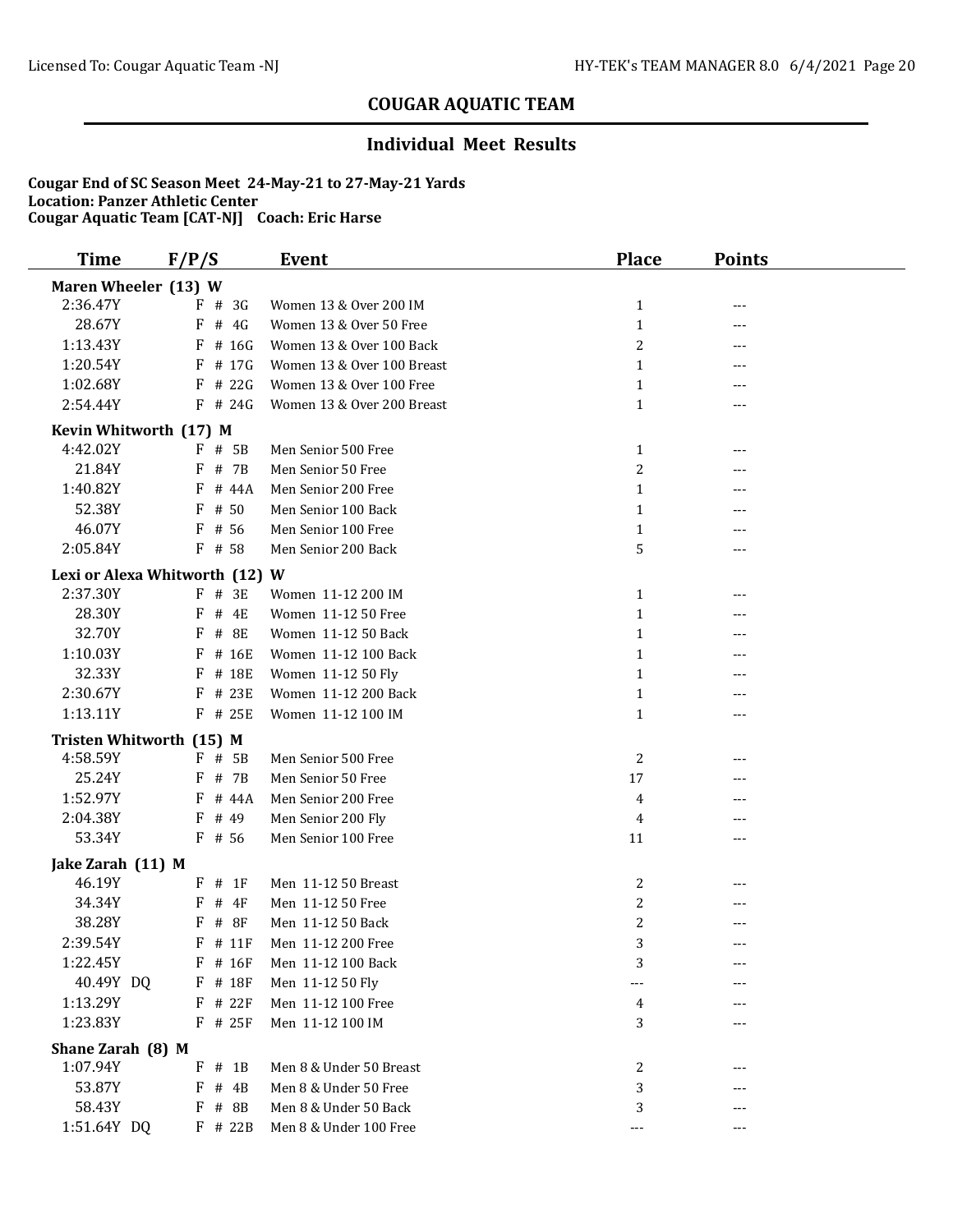### **Individual Meet Results**

| <b>Time</b>                    | F/P/S       | <b>Event</b>               | <b>Place</b>   | <b>Points</b> |
|--------------------------------|-------------|----------------------------|----------------|---------------|
| Maren Wheeler (13) W           |             |                            |                |               |
| 2:36.47Y                       | $F$ # 3G    | Women 13 & Over 200 IM     | $\mathbf{1}$   | ---           |
| 28.67Y                         | F<br># 4G   | Women 13 & Over 50 Free    | $\mathbf{1}$   |               |
| 1:13.43Y                       | # 16G<br>F  | Women 13 & Over 100 Back   | 2              | ---           |
| 1:20.54Y                       | # 17G<br>F  | Women 13 & Over 100 Breast | $\mathbf{1}$   |               |
| 1:02.68Y                       | # 22G<br>F  | Women 13 & Over 100 Free   | $\mathbf{1}$   |               |
| 2:54.44Y                       | $F$ # 24G   | Women 13 & Over 200 Breast | $\mathbf{1}$   |               |
| Kevin Whitworth (17) M         |             |                            |                |               |
| 4:42.02Y                       | F<br>$#$ 5B | Men Senior 500 Free        | $\mathbf{1}$   | ---           |
| 21.84Y                         | F<br># 7B   | Men Senior 50 Free         | 2              |               |
| 1:40.82Y                       | F<br># 44A  | Men Senior 200 Free        | $\mathbf{1}$   |               |
| 52.38Y                         | $F$ # 50    | Men Senior 100 Back        | $\mathbf{1}$   |               |
| 46.07Y                         | # 56<br>F   | Men Senior 100 Free        | $\mathbf{1}$   | ---           |
| 2:05.84Y                       | F # 58      | Men Senior 200 Back        | 5              | ---           |
| Lexi or Alexa Whitworth (12) W |             |                            |                |               |
| 2:37.30Y                       | $F$ # 3E    | Women 11-12 200 IM         | $\mathbf{1}$   | ---           |
| 28.30Y                         | # 4E<br>F   | Women 11-12 50 Free        | $\mathbf{1}$   | ---           |
| 32.70Y                         | # 8E<br>F   | Women 11-12 50 Back        | $\mathbf{1}$   |               |
| 1:10.03Y                       | # 16E<br>F  | Women 11-12 100 Back       | $\mathbf{1}$   |               |
| 32.33Y                         | # 18E<br>F  | Women 11-12 50 Fly         | $\mathbf{1}$   |               |
| 2:30.67Y                       | $F$ # 23E   | Women 11-12 200 Back       | $\mathbf{1}$   |               |
| 1:13.11Y                       | $F$ # 25E   | Women 11-12 100 IM         | $\mathbf{1}$   | ---           |
| Tristen Whitworth (15) M       |             |                            |                |               |
| 4:58.59Y                       | $F$ # 5B    | Men Senior 500 Free        | 2              | ---           |
| 25.24Y                         | F # 7B      | Men Senior 50 Free         | 17             |               |
| 1:52.97Y                       | F<br># 44A  | Men Senior 200 Free        | 4              |               |
| 2:04.38Y                       | F<br># 49   | Men Senior 200 Fly         | 4              | ---           |
| 53.34Y                         | $F$ # 56    | Men Senior 100 Free        | 11             |               |
| Jake Zarah (11) M              |             |                            |                |               |
| 46.19Y                         | $F$ # 1F    | Men 11-12 50 Breast        | 2              |               |
| 34.34Y                         | F<br>$#$ 4F | Men 11-12 50 Free          | 2              | ---           |
| 38.28Y                         | F<br>$#$ 8F | Men 11-12 50 Back          | $\overline{c}$ | ---           |
| 2:39.54Y                       | F # 11F     | Men 11-12 200 Free         | 3              | $---$         |
| 1:22.45Y                       | # 16F<br>F  | Men 11-12 100 Back         | 3              |               |
| 40.49Y DQ                      | F # 18F     | Men 11-12 50 Fly           |                |               |
| 1:13.29Y                       | $F$ # 22F   | Men 11-12 100 Free         | 4              |               |
| 1:23.83Y                       | $F$ # 25F   | Men 11-12 100 IM           | 3              |               |
| Shane Zarah (8) M              |             |                            |                |               |
| 1:07.94Y                       | $F$ # 1B    | Men 8 & Under 50 Breast    | 2              |               |
| 53.87Y                         | F<br># 4B   | Men 8 & Under 50 Free      | 3              |               |
| 58.43Y                         | F<br># 8B   | Men 8 & Under 50 Back      | 3              |               |
| 1:51.64Y DQ                    | F # 22B     | Men 8 & Under 100 Free     | ---            |               |